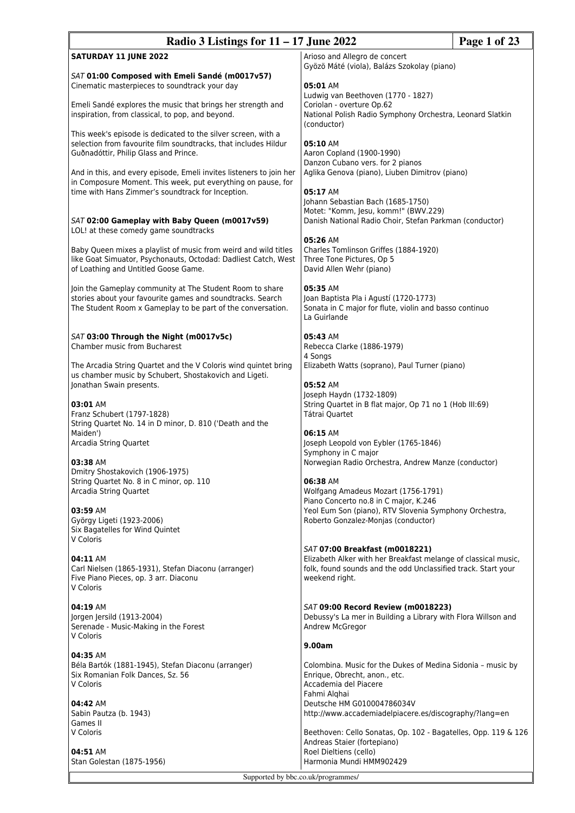| Page 1 of 23<br>Radio 3 Listings for $11 - 17$ June 2022                                                                                                                                                                                                                                                                                                              |                                                                                                                                                                                     |  |
|-----------------------------------------------------------------------------------------------------------------------------------------------------------------------------------------------------------------------------------------------------------------------------------------------------------------------------------------------------------------------|-------------------------------------------------------------------------------------------------------------------------------------------------------------------------------------|--|
| <b>SATURDAY 11 JUNE 2022</b>                                                                                                                                                                                                                                                                                                                                          | Arioso and Allegro de concert<br>Gyözö Máté (viola), Balázs Szokolay (piano)                                                                                                        |  |
| SAT 01:00 Composed with Emeli Sandé (m0017v57)<br>Cinematic masterpieces to soundtrack your day<br>Emeli Sandé explores the music that brings her strength and<br>inspiration, from classical, to pop, and beyond.                                                                                                                                                    | 05:01 AM<br>Ludwig van Beethoven (1770 - 1827)<br>Coriolan - overture Op.62<br>National Polish Radio Symphony Orchestra, Leonard Slatkin<br>(conductor)                             |  |
| This week's episode is dedicated to the silver screen, with a<br>selection from favourite film soundtracks, that includes Hildur<br>Guðnadóttir, Philip Glass and Prince.<br>And in this, and every episode, Emeli invites listeners to join her<br>in Composure Moment. This week, put everything on pause, for<br>time with Hans Zimmer's soundtrack for Inception. | 05:10 AM<br>Aaron Copland (1900-1990)<br>Danzon Cubano vers. for 2 pianos<br>Aglika Genova (piano), Liuben Dimitrov (piano)<br>05:17 AM                                             |  |
| SAT 02:00 Gameplay with Baby Queen (m0017v59)<br>LOL! at these comedy game soundtracks                                                                                                                                                                                                                                                                                | Johann Sebastian Bach (1685-1750)<br>Motet: "Komm, Jesu, komm!" (BWV.229)<br>Danish National Radio Choir, Stefan Parkman (conductor)<br>05:26 AM                                    |  |
| Baby Queen mixes a playlist of music from weird and wild titles<br>like Goat Simuator, Psychonauts, Octodad: Dadliest Catch, West<br>of Loathing and Untitled Goose Game.                                                                                                                                                                                             | Charles Tomlinson Griffes (1884-1920)<br>Three Tone Pictures, Op 5<br>David Allen Wehr (piano)                                                                                      |  |
| Join the Gameplay community at The Student Room to share<br>stories about your favourite games and soundtracks. Search<br>The Student Room x Gameplay to be part of the conversation.                                                                                                                                                                                 | 05:35 AM<br>Joan Baptista Pla i Agustí (1720-1773)<br>Sonata in C major for flute, violin and basso continuo<br>La Guirlande                                                        |  |
| SAT 03:00 Through the Night (m0017v5c)<br><b>Chamber music from Bucharest</b>                                                                                                                                                                                                                                                                                         | 05:43 AM<br>Rebecca Clarke (1886-1979)<br>4 Songs                                                                                                                                   |  |
| The Arcadia String Quartet and the V Coloris wind quintet bring<br>us chamber music by Schubert, Shostakovich and Ligeti.<br>Jonathan Swain presents.                                                                                                                                                                                                                 | Elizabeth Watts (soprano), Paul Turner (piano)<br>05:52 AM<br>Joseph Haydn (1732-1809)                                                                                              |  |
| 03:01 AM<br>Franz Schubert (1797-1828)<br>String Quartet No. 14 in D minor, D. 810 ('Death and the                                                                                                                                                                                                                                                                    | String Quartet in B flat major, Op 71 no 1 (Hob III:69)<br>Tátrai Quartet<br>06:15 AM                                                                                               |  |
| Maiden')<br>Arcadia String Quartet<br>03:38 AM                                                                                                                                                                                                                                                                                                                        | Joseph Leopold von Eybler (1765-1846)<br>Symphony in C major<br>Norwegian Radio Orchestra, Andrew Manze (conductor)                                                                 |  |
| Dmitry Shostakovich (1906-1975)<br>String Quartet No. 8 in C minor, op. 110<br>Arcadia String Quartet                                                                                                                                                                                                                                                                 | 06:38 AM<br>Wolfgang Amadeus Mozart (1756-1791)<br>Piano Concerto no.8 in C major, K.246                                                                                            |  |
| 03:59 AM<br>György Ligeti (1923-2006)<br>Six Bagatelles for Wind Quintet<br>V Coloris                                                                                                                                                                                                                                                                                 | Yeol Eum Son (piano), RTV Slovenia Symphony Orchestra,<br>Roberto Gonzalez-Monjas (conductor)                                                                                       |  |
| 04:11 AM<br>Carl Nielsen (1865-1931), Stefan Diaconu (arranger)<br>Five Piano Pieces, op. 3 arr. Diaconu<br>V Coloris                                                                                                                                                                                                                                                 | SAT 07:00 Breakfast (m0018221)<br>Elizabeth Alker with her Breakfast melange of classical music,<br>folk, found sounds and the odd Unclassified track. Start your<br>weekend right. |  |
| 04:19 AM<br>Jorgen Jersild (1913-2004)<br>Serenade - Music-Making in the Forest<br>V Coloris                                                                                                                                                                                                                                                                          | SAT 09:00 Record Review (m0018223)<br>Debussy's La mer in Building a Library with Flora Willson and<br>Andrew McGregor                                                              |  |
| 04:35 AM                                                                                                                                                                                                                                                                                                                                                              | 9.00am                                                                                                                                                                              |  |
| Béla Bartók (1881-1945), Stefan Diaconu (arranger)<br>Six Romanian Folk Dances, Sz. 56<br>V Coloris                                                                                                                                                                                                                                                                   | Colombina. Music for the Dukes of Medina Sidonia - music by<br>Enrique, Obrecht, anon., etc.<br>Accademia del Piacere<br>Fahmi Alghai                                               |  |
| 04:42 AM<br>Sabin Pautza (b. 1943)<br>Games II                                                                                                                                                                                                                                                                                                                        | Deutsche HM G010004786034V<br>http://www.accademiadelpiacere.es/discography/?lang=en                                                                                                |  |
| V Coloris<br>04:51 AM<br>Stan Golestan (1875-1956)                                                                                                                                                                                                                                                                                                                    | Beethoven: Cello Sonatas, Op. 102 - Bagatelles, Opp. 119 & 126<br>Andreas Staier (fortepiano)<br>Roel Dieltiens (cello)<br>Harmonia Mundi HMM902429                                 |  |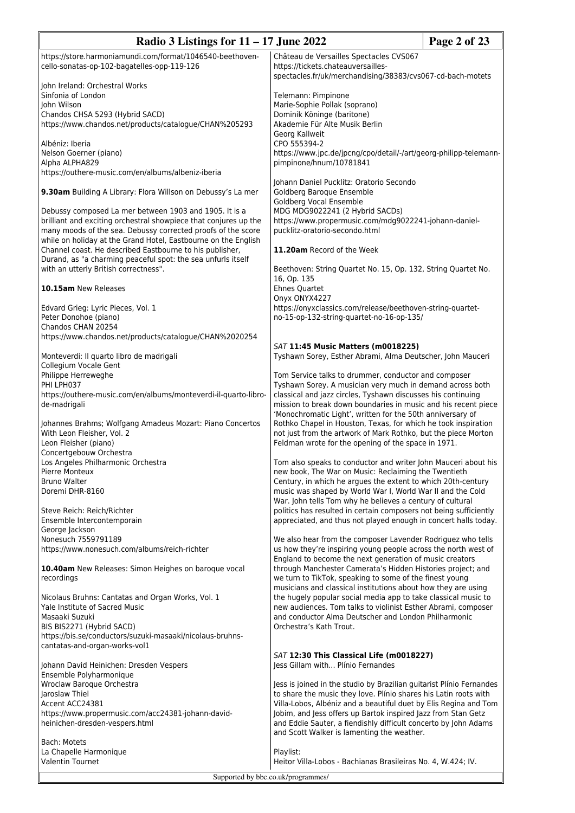| Radio 3 Listings for $11 - 17$ June 2022                                                                                                                                                                                                                     |                                                                                                                                                                                                                                                    | Page 2 of 23 |
|--------------------------------------------------------------------------------------------------------------------------------------------------------------------------------------------------------------------------------------------------------------|----------------------------------------------------------------------------------------------------------------------------------------------------------------------------------------------------------------------------------------------------|--------------|
| https://store.harmoniamundi.com/format/1046540-beethoven-<br>cello-sonatas-op-102-bagatelles-opp-119-126                                                                                                                                                     | Château de Versailles Spectacles CVS067<br>https://tickets.chateauversailles-<br>spectacles.fr/uk/merchandising/38383/cvs067-cd-bach-motets                                                                                                        |              |
| John Ireland: Orchestral Works<br>Sinfonia of London                                                                                                                                                                                                         | Telemann: Pimpinone                                                                                                                                                                                                                                |              |
| John Wilson<br>Chandos CHSA 5293 (Hybrid SACD)<br>https://www.chandos.net/products/catalogue/CHAN%205293                                                                                                                                                     | Marie-Sophie Pollak (soprano)<br>Dominik Köninge (baritone)<br>Akademie Für Alte Musik Berlin<br>Georg Kallweit                                                                                                                                    |              |
| Albéniz: Iberia<br>Nelson Goerner (piano)                                                                                                                                                                                                                    | CPO 555394-2<br>https://www.jpc.de/jpcng/cpo/detail/-/art/georg-philipp-telemann-                                                                                                                                                                  |              |
| Alpha ALPHA829<br>https://outhere-music.com/en/albums/albeniz-iberia                                                                                                                                                                                         | pimpinone/hnum/10781841                                                                                                                                                                                                                            |              |
| 9.30am Building A Library: Flora Willson on Debussy's La mer                                                                                                                                                                                                 | Johann Daniel Pucklitz: Oratorio Secondo<br>Goldberg Baroque Ensemble<br>Goldberg Vocal Ensemble                                                                                                                                                   |              |
| Debussy composed La mer between 1903 and 1905. It is a<br>brilliant and exciting orchestral showpiece that conjures up the<br>many moods of the sea. Debussy corrected proofs of the score<br>while on holiday at the Grand Hotel, Eastbourne on the English | MDG MDG9022241 (2 Hybrid SACDs)<br>https://www.propermusic.com/mdg9022241-johann-daniel-<br>pucklitz-oratorio-secondo.html                                                                                                                         |              |
| Channel coast. He described Eastbourne to his publisher,<br>Durand, as "a charming peaceful spot: the sea unfurls itself                                                                                                                                     | 11.20am Record of the Week                                                                                                                                                                                                                         |              |
| with an utterly British correctness".<br>10.15am New Releases                                                                                                                                                                                                | Beethoven: String Quartet No. 15, Op. 132, String Quartet No.<br>16, Op. 135<br><b>Ehnes Quartet</b>                                                                                                                                               |              |
| Edvard Grieg: Lyric Pieces, Vol. 1                                                                                                                                                                                                                           | Onyx ONYX4227<br>https://onyxclassics.com/release/beethoven-string-quartet-                                                                                                                                                                        |              |
| Peter Donohoe (piano)<br>Chandos CHAN 20254<br>https://www.chandos.net/products/catalogue/CHAN%2020254                                                                                                                                                       | no-15-op-132-string-quartet-no-16-op-135/                                                                                                                                                                                                          |              |
| Monteverdi: Il quarto libro de madrigali<br>Collegium Vocale Gent                                                                                                                                                                                            | SAT 11:45 Music Matters (m0018225)<br>Tyshawn Sorey, Esther Abrami, Alma Deutscher, John Mauceri                                                                                                                                                   |              |
| Philippe Herreweghe<br>PHI LPH037                                                                                                                                                                                                                            | Tom Service talks to drummer, conductor and composer<br>Tyshawn Sorey. A musician very much in demand across both                                                                                                                                  |              |
| https://outhere-music.com/en/albums/monteverdi-il-quarto-libro-<br>de-madrigali                                                                                                                                                                              | classical and jazz circles, Tyshawn discusses his continuing<br>mission to break down boundaries in music and his recent piece<br>'Monochromatic Light', written for the 50th anniversary of                                                       |              |
| Johannes Brahms; Wolfgang Amadeus Mozart: Piano Concertos<br>With Leon Fleisher, Vol. 2<br>Leon Fleisher (piano)                                                                                                                                             | Rothko Chapel in Houston, Texas, for which he took inspiration<br>not just from the artwork of Mark Rothko, but the piece Morton<br>Feldman wrote for the opening of the space in 1971.                                                            |              |
| Concertgebouw Orchestra<br>Los Angeles Philharmonic Orchestra<br>Pierre Monteux                                                                                                                                                                              | Tom also speaks to conductor and writer John Mauceri about his<br>new book, The War on Music: Reclaiming the Twentieth                                                                                                                             |              |
| <b>Bruno Walter</b><br>Doremi DHR-8160                                                                                                                                                                                                                       | Century, in which he argues the extent to which 20th-century<br>music was shaped by World War I, World War II and the Cold                                                                                                                         |              |
| Steve Reich: Reich/Richter<br>Ensemble Intercontemporain<br>George Jackson                                                                                                                                                                                   | War. John tells Tom why he believes a century of cultural<br>politics has resulted in certain composers not being sufficiently<br>appreciated, and thus not played enough in concert halls today.                                                  |              |
| Nonesuch 7559791189<br>https://www.nonesuch.com/albums/reich-richter                                                                                                                                                                                         | We also hear from the composer Lavender Rodriguez who tells<br>us how they're inspiring young people across the north west of                                                                                                                      |              |
| 10.40am New Releases: Simon Heighes on baroque vocal<br>recordings                                                                                                                                                                                           | England to become the next generation of music creators<br>through Manchester Camerata's Hidden Histories project; and<br>we turn to TikTok, speaking to some of the finest young                                                                  |              |
| Nicolaus Bruhns: Cantatas and Organ Works, Vol. 1<br>Yale Institute of Sacred Music                                                                                                                                                                          | musicians and classical institutions about how they are using<br>the hugely popular social media app to take classical music to<br>new audiences. Tom talks to violinist Esther Abrami, composer                                                   |              |
| Masaaki Suzuki<br>BIS BIS2271 (Hybrid SACD)                                                                                                                                                                                                                  | and conductor Alma Deutscher and London Philharmonic<br>Orchestra's Kath Trout.                                                                                                                                                                    |              |
| https://bis.se/conductors/suzuki-masaaki/nicolaus-bruhns-<br>cantatas-and-organ-works-vol1                                                                                                                                                                   |                                                                                                                                                                                                                                                    |              |
| Johann David Heinichen: Dresden Vespers<br>Ensemble Polyharmonique                                                                                                                                                                                           | SAT 12:30 This Classical Life (m0018227)<br>Jess Gillam with Plínio Fernandes                                                                                                                                                                      |              |
| Wroclaw Baroque Orchestra<br>Jaroslaw Thiel                                                                                                                                                                                                                  | Jess is joined in the studio by Brazilian guitarist Plínio Fernandes<br>to share the music they love. Plínio shares his Latin roots with                                                                                                           |              |
| Accent ACC24381<br>https://www.propermusic.com/acc24381-johann-david-<br>heinichen-dresden-vespers.html                                                                                                                                                      | Villa-Lobos, Albéniz and a beautiful duet by Elis Regina and Tom<br>Jobim, and Jess offers up Bartok inspired Jazz from Stan Getz<br>and Eddie Sauter, a fiendishly difficult concerto by John Adams<br>and Scott Walker is lamenting the weather. |              |
| Bach: Motets<br>La Chapelle Harmonique                                                                                                                                                                                                                       | Playlist:                                                                                                                                                                                                                                          |              |
| Valentin Tournet                                                                                                                                                                                                                                             | Heitor Villa-Lobos - Bachianas Brasileiras No. 4, W.424; IV.                                                                                                                                                                                       |              |
| Supported by bbc.co.uk/programmes/                                                                                                                                                                                                                           |                                                                                                                                                                                                                                                    |              |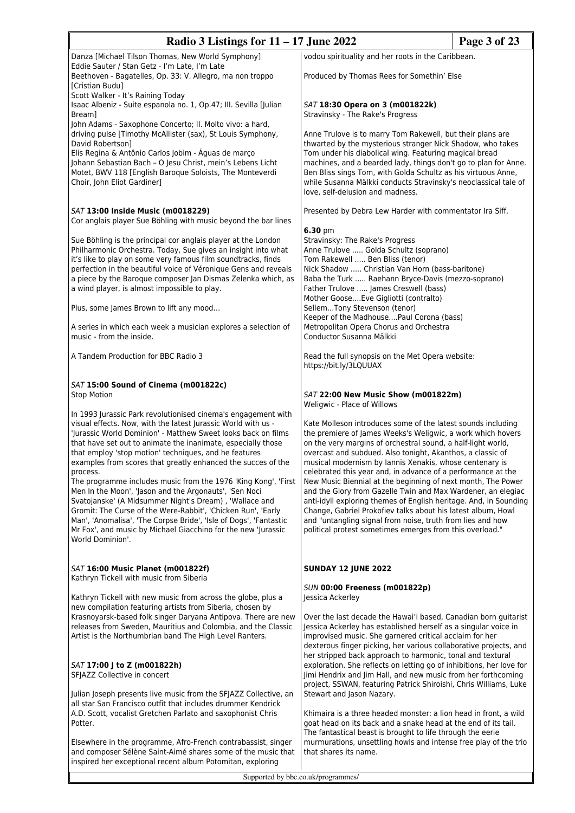| Radio 3 Listings for $11 - 17$ June 2022                                                                                                                                                                                                                                                                                                                                                                                                                                                                                                                                                                                                                                                                                                                                                                             |                                                                                                                                                                                                                                                                                                                                                                                                                                                                                                                                                                                                                                                                                                                                                                                     | Page 3 of 23 |
|----------------------------------------------------------------------------------------------------------------------------------------------------------------------------------------------------------------------------------------------------------------------------------------------------------------------------------------------------------------------------------------------------------------------------------------------------------------------------------------------------------------------------------------------------------------------------------------------------------------------------------------------------------------------------------------------------------------------------------------------------------------------------------------------------------------------|-------------------------------------------------------------------------------------------------------------------------------------------------------------------------------------------------------------------------------------------------------------------------------------------------------------------------------------------------------------------------------------------------------------------------------------------------------------------------------------------------------------------------------------------------------------------------------------------------------------------------------------------------------------------------------------------------------------------------------------------------------------------------------------|--------------|
| Danza [Michael Tilson Thomas, New World Symphony]                                                                                                                                                                                                                                                                                                                                                                                                                                                                                                                                                                                                                                                                                                                                                                    | vodou spirituality and her roots in the Caribbean.                                                                                                                                                                                                                                                                                                                                                                                                                                                                                                                                                                                                                                                                                                                                  |              |
| Eddie Sauter / Stan Getz - I'm Late, I'm Late<br>Beethoven - Bagatelles, Op. 33: V. Allegro, ma non troppo<br>[Cristian Budu]<br>Scott Walker - It's Raining Today                                                                                                                                                                                                                                                                                                                                                                                                                                                                                                                                                                                                                                                   | Produced by Thomas Rees for Somethin' Else                                                                                                                                                                                                                                                                                                                                                                                                                                                                                                                                                                                                                                                                                                                                          |              |
| Isaac Albeniz - Suite espanola no. 1, Op.47; III. Sevilla [Julian<br>Bream]<br>John Adams - Saxophone Concerto; II. Molto vivo: a hard,                                                                                                                                                                                                                                                                                                                                                                                                                                                                                                                                                                                                                                                                              | SAT 18:30 Opera on 3 (m001822k)<br>Stravinsky - The Rake's Progress                                                                                                                                                                                                                                                                                                                                                                                                                                                                                                                                                                                                                                                                                                                 |              |
| driving pulse [Timothy McAllister (sax), St Louis Symphony,<br>David Robertson]<br>Elis Regina & Antônio Carlos Jobim - Águas de março<br>Johann Sebastian Bach - O Jesu Christ, mein's Lebens Licht<br>Motet, BWV 118 [English Baroque Soloists, The Monteverdi<br>Choir, John Eliot Gardiner]                                                                                                                                                                                                                                                                                                                                                                                                                                                                                                                      | Anne Trulove is to marry Tom Rakewell, but their plans are<br>thwarted by the mysterious stranger Nick Shadow, who takes<br>Tom under his diabolical wing. Featuring magical bread<br>machines, and a bearded lady, things don't go to plan for Anne.<br>Ben Bliss sings Tom, with Golda Schultz as his virtuous Anne,<br>while Susanna Mälkki conducts Stravinsky's neoclassical tale of<br>love, self-delusion and madness.                                                                                                                                                                                                                                                                                                                                                       |              |
| SAT 13:00 Inside Music (m0018229)<br>Cor anglais player Sue Böhling with music beyond the bar lines                                                                                                                                                                                                                                                                                                                                                                                                                                                                                                                                                                                                                                                                                                                  | Presented by Debra Lew Harder with commentator Ira Siff.                                                                                                                                                                                                                                                                                                                                                                                                                                                                                                                                                                                                                                                                                                                            |              |
| Sue Böhling is the principal cor anglais player at the London<br>Philharmonic Orchestra. Today, Sue gives an insight into what<br>it's like to play on some very famous film soundtracks, finds<br>perfection in the beautiful voice of Véronique Gens and reveals<br>a piece by the Baroque composer Jan Dismas Zelenka which, as<br>a wind player, is almost impossible to play.                                                                                                                                                                                                                                                                                                                                                                                                                                   | $6.30 \text{ pm}$<br>Stravinsky: The Rake's Progress<br>Anne Trulove  Golda Schultz (soprano)<br>Tom Rakewell  Ben Bliss (tenor)<br>Nick Shadow  Christian Van Horn (bass-baritone)<br>Baba the Turk  Raehann Bryce-Davis (mezzo-soprano)<br>Father Trulove  James Creswell (bass)<br>Mother GooseEve Gigliotti (contralto)                                                                                                                                                                                                                                                                                                                                                                                                                                                         |              |
| Plus, some James Brown to lift any mood                                                                                                                                                                                                                                                                                                                                                                                                                                                                                                                                                                                                                                                                                                                                                                              | SellemTony Stevenson (tenor)<br>Keeper of the MadhousePaul Corona (bass)                                                                                                                                                                                                                                                                                                                                                                                                                                                                                                                                                                                                                                                                                                            |              |
| A series in which each week a musician explores a selection of<br>music - from the inside.                                                                                                                                                                                                                                                                                                                                                                                                                                                                                                                                                                                                                                                                                                                           | Metropolitan Opera Chorus and Orchestra<br>Conductor Susanna Mälkki                                                                                                                                                                                                                                                                                                                                                                                                                                                                                                                                                                                                                                                                                                                 |              |
| A Tandem Production for BBC Radio 3                                                                                                                                                                                                                                                                                                                                                                                                                                                                                                                                                                                                                                                                                                                                                                                  | Read the full synopsis on the Met Opera website:<br>https://bit.ly/3LQUUAX                                                                                                                                                                                                                                                                                                                                                                                                                                                                                                                                                                                                                                                                                                          |              |
| SAT 15:00 Sound of Cinema (m001822c)<br><b>Stop Motion</b>                                                                                                                                                                                                                                                                                                                                                                                                                                                                                                                                                                                                                                                                                                                                                           | SAT 22:00 New Music Show (m001822m)<br>Weligwic - Place of Willows                                                                                                                                                                                                                                                                                                                                                                                                                                                                                                                                                                                                                                                                                                                  |              |
| In 1993 Jurassic Park revolutionised cinema's engagement with<br>visual effects. Now, with the latest Jurassic World with us -<br>'Jurassic World Dominion' - Matthew Sweet looks back on films<br>that have set out to animate the inanimate, especially those<br>that employ 'stop motion' techniques, and he features<br>examples from scores that greatly enhanced the succes of the<br>process.<br>The programme includes music from the 1976 'King Kong', 'First<br>Men In the Moon', 'Jason and the Argonauts', 'Sen Noci<br>Svatojanske' (A Midsummer Night's Dream), 'Wallace and<br>Gromit: The Curse of the Were-Rabbit', 'Chicken Run', 'Early<br>Man', 'Anomalisa', 'The Corpse Bride', 'Isle of Dogs', 'Fantastic<br>Mr Fox', and music by Michael Giacchino for the new 'Jurassic<br>World Dominion'. | Kate Molleson introduces some of the latest sounds including<br>the premiere of James Weeks's Weligwic, a work which hovers<br>on the very margins of orchestral sound, a half-light world,<br>overcast and subdued. Also tonight, Akanthos, a classic of<br>musical modernism by Iannis Xenakis, whose centenary is<br>celebrated this year and, in advance of a performance at the<br>New Music Biennial at the beginning of next month, The Power<br>and the Glory from Gazelle Twin and Max Wardener, an elegiac<br>anti-idyll exploring themes of English heritage. And, in Sounding<br>Change, Gabriel Prokofiev talks about his latest album, Howl<br>and "untangling signal from noise, truth from lies and how<br>political protest sometimes emerges from this overload." |              |
| SAT 16:00 Music Planet (m001822f)<br>Kathryn Tickell with music from Siberia                                                                                                                                                                                                                                                                                                                                                                                                                                                                                                                                                                                                                                                                                                                                         | <b>SUNDAY 12 JUNE 2022</b>                                                                                                                                                                                                                                                                                                                                                                                                                                                                                                                                                                                                                                                                                                                                                          |              |
| Kathryn Tickell with new music from across the globe, plus a<br>new compilation featuring artists from Siberia, chosen by                                                                                                                                                                                                                                                                                                                                                                                                                                                                                                                                                                                                                                                                                            | SUN 00:00 Freeness (m001822p)<br>Jessica Ackerley                                                                                                                                                                                                                                                                                                                                                                                                                                                                                                                                                                                                                                                                                                                                   |              |
| Krasnoyarsk-based folk singer Daryana Antipova. There are new<br>releases from Sweden, Mauritius and Colombia, and the Classic<br>Artist is the Northumbrian band The High Level Ranters.                                                                                                                                                                                                                                                                                                                                                                                                                                                                                                                                                                                                                            | Over the last decade the Hawai'i based, Canadian born quitarist<br>Jessica Ackerley has established herself as a singular voice in<br>improvised music. She garnered critical acclaim for her<br>dexterous finger picking, her various collaborative projects, and<br>her stripped back approach to harmonic, tonal and textural                                                                                                                                                                                                                                                                                                                                                                                                                                                    |              |
| SAT 17:00 J to Z (m001822h)<br>SFJAZZ Collective in concert                                                                                                                                                                                                                                                                                                                                                                                                                                                                                                                                                                                                                                                                                                                                                          | exploration. She reflects on letting go of inhibitions, her love for<br>Jimi Hendrix and Jim Hall, and new music from her forthcoming<br>project, SSWAN, featuring Patrick Shiroishi, Chris Williams, Luke                                                                                                                                                                                                                                                                                                                                                                                                                                                                                                                                                                          |              |
| Julian Joseph presents live music from the SFJAZZ Collective, an<br>all star San Francisco outfit that includes drummer Kendrick<br>A.D. Scott, vocalist Gretchen Parlato and saxophonist Chris<br>Potter.                                                                                                                                                                                                                                                                                                                                                                                                                                                                                                                                                                                                           | Stewart and Jason Nazary.<br>Khimaira is a three headed monster: a lion head in front, a wild<br>goat head on its back and a snake head at the end of its tail.<br>The fantastical beast is brought to life through the eerie                                                                                                                                                                                                                                                                                                                                                                                                                                                                                                                                                       |              |
| Elsewhere in the programme, Afro-French contrabassist, singer<br>and composer Sélène Saint-Aimé shares some of the music that<br>inspired her exceptional recent album Potomitan, exploring                                                                                                                                                                                                                                                                                                                                                                                                                                                                                                                                                                                                                          | murmurations, unsettling howls and intense free play of the trio<br>that shares its name.                                                                                                                                                                                                                                                                                                                                                                                                                                                                                                                                                                                                                                                                                           |              |
| Supported by bbc.co.uk/programmes/                                                                                                                                                                                                                                                                                                                                                                                                                                                                                                                                                                                                                                                                                                                                                                                   |                                                                                                                                                                                                                                                                                                                                                                                                                                                                                                                                                                                                                                                                                                                                                                                     |              |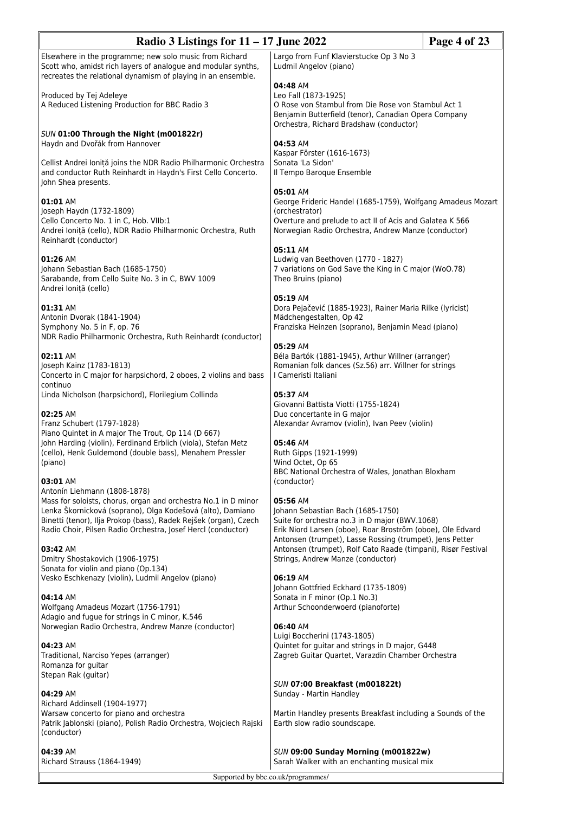| Radio 3 Listings for $11 - 17$ June 2022<br>Page 4 of 23                                                                                                                                                                                                                                                     |                                                                                                                                                                                                              |  |
|--------------------------------------------------------------------------------------------------------------------------------------------------------------------------------------------------------------------------------------------------------------------------------------------------------------|--------------------------------------------------------------------------------------------------------------------------------------------------------------------------------------------------------------|--|
| Elsewhere in the programme; new solo music from Richard<br>Scott who, amidst rich layers of analogue and modular synths,<br>recreates the relational dynamism of playing in an ensemble.                                                                                                                     | Largo from Funf Klavierstucke Op 3 No 3<br>Ludmil Angelov (piano)                                                                                                                                            |  |
| Produced by Tej Adeleye<br>A Reduced Listening Production for BBC Radio 3                                                                                                                                                                                                                                    | 04:48 AM<br>Leo Fall (1873-1925)<br>O Rose von Stambul from Die Rose von Stambul Act 1<br>Benjamin Butterfield (tenor), Canadian Opera Company<br>Orchestra, Richard Bradshaw (conductor)                    |  |
| SUN 01:00 Through the Night (m001822r)<br>Haydn and Dvořák from Hannover                                                                                                                                                                                                                                     | 04:53 AM                                                                                                                                                                                                     |  |
| Cellist Andrei Ioniță joins the NDR Radio Philharmonic Orchestra<br>and conductor Ruth Reinhardt in Haydn's First Cello Concerto.<br>John Shea presents.                                                                                                                                                     | Kaspar Förster (1616-1673)<br>Sonata 'La Sidon'<br>Il Tempo Baroque Ensemble                                                                                                                                 |  |
| 01:01 AM<br>Joseph Haydn (1732-1809)<br>Cello Concerto No. 1 in C, Hob. VIIb:1<br>Andrei Ioniță (cello), NDR Radio Philharmonic Orchestra, Ruth<br>Reinhardt (conductor)                                                                                                                                     | 05:01 AM<br>George Frideric Handel (1685-1759), Wolfgang Amadeus Mozart<br>(orchestrator)<br>Overture and prelude to act II of Acis and Galatea K 566<br>Norwegian Radio Orchestra, Andrew Manze (conductor) |  |
| 01:26 AM<br>Johann Sebastian Bach (1685-1750)<br>Sarabande, from Cello Suite No. 3 in C, BWV 1009<br>Andrei Ioniță (cello)                                                                                                                                                                                   | 05:11 AM<br>Ludwig van Beethoven (1770 - 1827)<br>7 variations on God Save the King in C major (WoO.78)<br>Theo Bruins (piano)                                                                               |  |
| 01:31 AM<br>Antonin Dvorak (1841-1904)<br>Symphony No. 5 in F, op. 76<br>NDR Radio Philharmonic Orchestra, Ruth Reinhardt (conductor)                                                                                                                                                                        | 05:19 AM<br>Dora Pejačević (1885-1923), Rainer Maria Rilke (lyricist)<br>Mädchengestalten, Op 42<br>Franziska Heinzen (soprano), Benjamin Mead (piano)                                                       |  |
| 02:11 AM<br>Joseph Kainz (1783-1813)<br>Concerto in C major for harpsichord, 2 oboes, 2 violins and bass<br>continuo                                                                                                                                                                                         | 05:29 AM<br>Béla Bartók (1881-1945), Arthur Willner (arranger)<br>Romanian folk dances (Sz.56) arr. Willner for strings<br>I Cameristi Italiani                                                              |  |
| Linda Nicholson (harpsichord), Florilegium Collinda<br>02:25 AM<br>Franz Schubert (1797-1828)                                                                                                                                                                                                                | 05:37 AM<br>Giovanni Battista Viotti (1755-1824)<br>Duo concertante in G major<br>Alexandar Avramov (violin), Ivan Peev (violin)                                                                             |  |
| Piano Quintet in A major The Trout, Op 114 (D 667)<br>John Harding (violin), Ferdinand Erblich (viola), Stefan Metz<br>(cello), Henk Guldemond (double bass), Menahem Pressler<br>(piano)                                                                                                                    | 05:46 AM<br>Ruth Gipps (1921-1999)<br>Wind Octet, Op 65<br>BBC National Orchestra of Wales, Jonathan Bloxham                                                                                                 |  |
| 03:01 AM<br>Antonín Liehmann (1808-1878)<br>Mass for soloists, chorus, organ and orchestra No.1 in D minor<br>Lenka Škornicková (soprano), Olga Kodešová (alto), Damiano<br>Binetti (tenor), Ilja Prokop (bass), Radek Rejšek (organ), Czech<br>Radio Choir, Pilsen Radio Orchestra, Josef Hercl (conductor) | (conductor)<br>05:56 AM<br>Johann Sebastian Bach (1685-1750)<br>Suite for orchestra no.3 in D major (BWV.1068)<br>Erik Niord Larsen (oboe), Roar Broström (oboe), Ole Edvard                                 |  |
| 03:42 AM<br>Dmitry Shostakovich (1906-1975)<br>Sonata for violin and piano (Op.134)                                                                                                                                                                                                                          | Antonsen (trumpet), Lasse Rossing (trumpet), Jens Petter<br>Antonsen (trumpet), Rolf Cato Raade (timpani), Risør Festival<br>Strings, Andrew Manze (conductor)                                               |  |
| Vesko Eschkenazy (violin), Ludmil Angelov (piano)<br>04:14 AM<br>Wolfgang Amadeus Mozart (1756-1791)                                                                                                                                                                                                         | 06:19 AM<br>Johann Gottfried Eckhard (1735-1809)<br>Sonata in F minor (Op.1 No.3)<br>Arthur Schoonderwoerd (pianoforte)                                                                                      |  |
| Adagio and fugue for strings in C minor, K.546<br>Norwegian Radio Orchestra, Andrew Manze (conductor)                                                                                                                                                                                                        | 06:40 AM<br>Luigi Boccherini (1743-1805)                                                                                                                                                                     |  |
| 04:23 AM<br>Traditional, Narciso Yepes (arranger)<br>Romanza for guitar<br>Stepan Rak (guitar)                                                                                                                                                                                                               | Quintet for guitar and strings in D major, G448<br>Zagreb Guitar Quartet, Varazdin Chamber Orchestra                                                                                                         |  |
| 04:29 AM<br>Richard Addinsell (1904-1977)                                                                                                                                                                                                                                                                    | SUN 07:00 Breakfast (m001822t)<br>Sunday - Martin Handley                                                                                                                                                    |  |
| Warsaw concerto for piano and orchestra<br>Patrik Jablonski (piano), Polish Radio Orchestra, Wojciech Rajski<br>(conductor)                                                                                                                                                                                  | Martin Handley presents Breakfast including a Sounds of the<br>Earth slow radio soundscape.                                                                                                                  |  |
| 04:39 AM<br>Richard Strauss (1864-1949)                                                                                                                                                                                                                                                                      | SUN 09:00 Sunday Morning (m001822w)<br>Sarah Walker with an enchanting musical mix<br>Supported by bbc.co.uk/programmes/                                                                                     |  |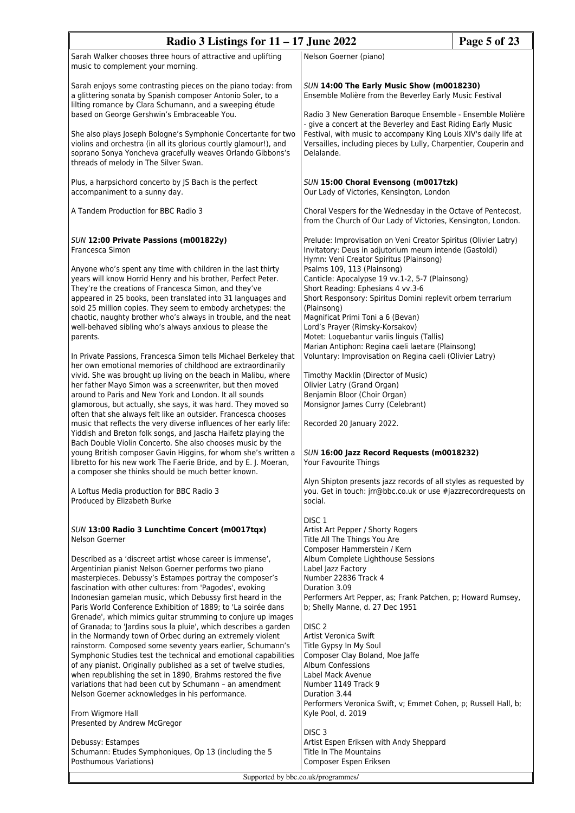| Radio 3 Listings for $11 - 17$ June 2022                                                                                                                                                                                                                                                                                                                                                                                                                                                                                                                                                                                                                                                                                                                                                                                                                                                                                                                                                                                                                                                                                                                                                                                                                                                                                                                                                                                                                            |                                                                                                                                                                                                                                                                                                                                                                                                                                                                                                                                                                                                                                                                                                                                                                                                                                                                                                                                                                                                                | Page 5 of 23                         |  |
|---------------------------------------------------------------------------------------------------------------------------------------------------------------------------------------------------------------------------------------------------------------------------------------------------------------------------------------------------------------------------------------------------------------------------------------------------------------------------------------------------------------------------------------------------------------------------------------------------------------------------------------------------------------------------------------------------------------------------------------------------------------------------------------------------------------------------------------------------------------------------------------------------------------------------------------------------------------------------------------------------------------------------------------------------------------------------------------------------------------------------------------------------------------------------------------------------------------------------------------------------------------------------------------------------------------------------------------------------------------------------------------------------------------------------------------------------------------------|----------------------------------------------------------------------------------------------------------------------------------------------------------------------------------------------------------------------------------------------------------------------------------------------------------------------------------------------------------------------------------------------------------------------------------------------------------------------------------------------------------------------------------------------------------------------------------------------------------------------------------------------------------------------------------------------------------------------------------------------------------------------------------------------------------------------------------------------------------------------------------------------------------------------------------------------------------------------------------------------------------------|--------------------------------------|--|
| Sarah Walker chooses three hours of attractive and uplifting<br>music to complement your morning.                                                                                                                                                                                                                                                                                                                                                                                                                                                                                                                                                                                                                                                                                                                                                                                                                                                                                                                                                                                                                                                                                                                                                                                                                                                                                                                                                                   | Nelson Goerner (piano)                                                                                                                                                                                                                                                                                                                                                                                                                                                                                                                                                                                                                                                                                                                                                                                                                                                                                                                                                                                         |                                      |  |
| Sarah enjoys some contrasting pieces on the piano today: from<br>a glittering sonata by Spanish composer Antonio Soler, to a<br>lilting romance by Clara Schumann, and a sweeping étude                                                                                                                                                                                                                                                                                                                                                                                                                                                                                                                                                                                                                                                                                                                                                                                                                                                                                                                                                                                                                                                                                                                                                                                                                                                                             | SUN 14:00 The Early Music Show (m0018230)<br>Ensemble Molière from the Beverley Early Music Festival<br>Radio 3 New Generation Baroque Ensemble - Ensemble Molière<br>- give a concert at the Beverley and East Riding Early Music<br>Festival, with music to accompany King Louis XIV's daily life at<br>Versailles, including pieces by Lully, Charpentier, Couperin and<br>Delalande.                                                                                                                                                                                                                                                                                                                                                                                                                                                                                                                                                                                                                       |                                      |  |
| based on George Gershwin's Embraceable You.<br>She also plays Joseph Bologne's Symphonie Concertante for two<br>violins and orchestra (in all its glorious courtly glamour!), and<br>soprano Sonya Yoncheva gracefully weaves Orlando Gibbons's<br>threads of melody in The Silver Swan.                                                                                                                                                                                                                                                                                                                                                                                                                                                                                                                                                                                                                                                                                                                                                                                                                                                                                                                                                                                                                                                                                                                                                                            |                                                                                                                                                                                                                                                                                                                                                                                                                                                                                                                                                                                                                                                                                                                                                                                                                                                                                                                                                                                                                |                                      |  |
| Plus, a harpsichord concerto by JS Bach is the perfect<br>accompaniment to a sunny day.                                                                                                                                                                                                                                                                                                                                                                                                                                                                                                                                                                                                                                                                                                                                                                                                                                                                                                                                                                                                                                                                                                                                                                                                                                                                                                                                                                             | Our Lady of Victories, Kensington, London                                                                                                                                                                                                                                                                                                                                                                                                                                                                                                                                                                                                                                                                                                                                                                                                                                                                                                                                                                      | SUN 15:00 Choral Evensong (m0017tzk) |  |
| A Tandem Production for BBC Radio 3                                                                                                                                                                                                                                                                                                                                                                                                                                                                                                                                                                                                                                                                                                                                                                                                                                                                                                                                                                                                                                                                                                                                                                                                                                                                                                                                                                                                                                 | Choral Vespers for the Wednesday in the Octave of Pentecost,<br>from the Church of Our Lady of Victories, Kensington, London.                                                                                                                                                                                                                                                                                                                                                                                                                                                                                                                                                                                                                                                                                                                                                                                                                                                                                  |                                      |  |
| SUN 12:00 Private Passions (m001822y)<br>Francesca Simon<br>Anyone who's spent any time with children in the last thirty<br>years will know Horrid Henry and his brother, Perfect Peter.<br>They're the creations of Francesca Simon, and they've<br>appeared in 25 books, been translated into 31 languages and<br>sold 25 million copies. They seem to embody archetypes: the<br>chaotic, naughty brother who's always in trouble, and the neat<br>well-behaved sibling who's always anxious to please the<br>parents.<br>In Private Passions, Francesca Simon tells Michael Berkeley that<br>her own emotional memories of childhood are extraordinarily<br>vivid. She was brought up living on the beach in Malibu, where<br>her father Mayo Simon was a screenwriter, but then moved<br>around to Paris and New York and London. It all sounds<br>glamorous, but actually, she says, it was hard. They moved so<br>often that she always felt like an outsider. Francesca chooses<br>music that reflects the very diverse influences of her early life:<br>Yiddish and Breton folk songs, and Jascha Haifetz playing the<br>Bach Double Violin Concerto. She also chooses music by the<br>young British composer Gavin Higgins, for whom she's written a<br>libretto for his new work The Faerie Bride, and by E. J. Moeran,<br>a composer she thinks should be much better known.<br>A Loftus Media production for BBC Radio 3<br>Produced by Elizabeth Burke | Prelude: Improvisation on Veni Creator Spiritus (Olivier Latry)<br>Invitatory: Deus in adjutorium meum intende (Gastoldi)<br>Hymn: Veni Creator Spiritus (Plainsong)<br>Psalms 109, 113 (Plainsong)<br>Canticle: Apocalypse 19 vv.1-2, 5-7 (Plainsong)<br>Short Reading: Ephesians 4 vv.3-6<br>Short Responsory: Spiritus Domini replevit orbem terrarium<br>(Plainsong)<br>Magnificat Primi Toni a 6 (Bevan)<br>Lord's Prayer (Rimsky-Korsakov)<br>Motet: Loquebantur variis linguis (Tallis)<br>Marian Antiphon: Regina caeli laetare (Plainsong)<br>Voluntary: Improvisation on Regina caeli (Olivier Latry)<br>Timothy Macklin (Director of Music)<br>Olivier Latry (Grand Organ)<br>Benjamin Bloor (Choir Organ)<br>Monsignor James Curry (Celebrant)<br>Recorded 20 January 2022.<br>SUN 16:00 Jazz Record Requests (m0018232)<br>Your Favourite Things<br>Alyn Shipton presents jazz records of all styles as requested by<br>you. Get in touch: jrr@bbc.co.uk or use #jazzrecordrequests on<br>social. |                                      |  |
| SUN 13:00 Radio 3 Lunchtime Concert (m0017tqx)<br>Nelson Goerner<br>Described as a 'discreet artist whose career is immense',<br>Argentinian pianist Nelson Goerner performs two piano<br>masterpieces. Debussy's Estampes portray the composer's<br>fascination with other cultures: from 'Pagodes', evoking<br>Indonesian gamelan music, which Debussy first heard in the<br>Paris World Conference Exhibition of 1889; to 'La soirée dans<br>Grenade', which mimics guitar strumming to conjure up images<br>of Granada; to 'Jardins sous la pluie', which describes a garden<br>in the Normandy town of Orbec during an extremely violent<br>rainstorm. Composed some seventy years earlier, Schumann's<br>Symphonic Studies test the technical and emotional capabilities<br>of any pianist. Originally published as a set of twelve studies,<br>when republishing the set in 1890, Brahms restored the five<br>variations that had been cut by Schumann - an amendment<br>Nelson Goerner acknowledges in his performance.<br>From Wigmore Hall<br>Presented by Andrew McGregor                                                                                                                                                                                                                                                                                                                                                                                | DISC <sub>1</sub><br>Artist Art Pepper / Shorty Rogers<br>Title All The Things You Are<br>Composer Hammerstein / Kern<br>Album Complete Lighthouse Sessions<br>Label Jazz Factory<br>Number 22836 Track 4<br>Duration 3.09<br>Performers Art Pepper, as; Frank Patchen, p; Howard Rumsey,<br>b; Shelly Manne, d. 27 Dec 1951<br>DISC <sub>2</sub><br>Artist Veronica Swift<br>Title Gypsy In My Soul<br>Composer Clay Boland, Moe Jaffe<br><b>Album Confessions</b><br>Label Mack Avenue<br>Number 1149 Track 9<br>Duration 3.44<br>Performers Veronica Swift, v; Emmet Cohen, p; Russell Hall, b;<br>Kyle Pool, d. 2019<br>DISC <sub>3</sub>                                                                                                                                                                                                                                                                                                                                                                  |                                      |  |
| Debussy: Estampes<br>Schumann: Etudes Symphoniques, Op 13 (including the 5<br>Posthumous Variations)                                                                                                                                                                                                                                                                                                                                                                                                                                                                                                                                                                                                                                                                                                                                                                                                                                                                                                                                                                                                                                                                                                                                                                                                                                                                                                                                                                | Artist Espen Eriksen with Andy Sheppard<br>Title In The Mountains<br>Composer Espen Eriksen                                                                                                                                                                                                                                                                                                                                                                                                                                                                                                                                                                                                                                                                                                                                                                                                                                                                                                                    |                                      |  |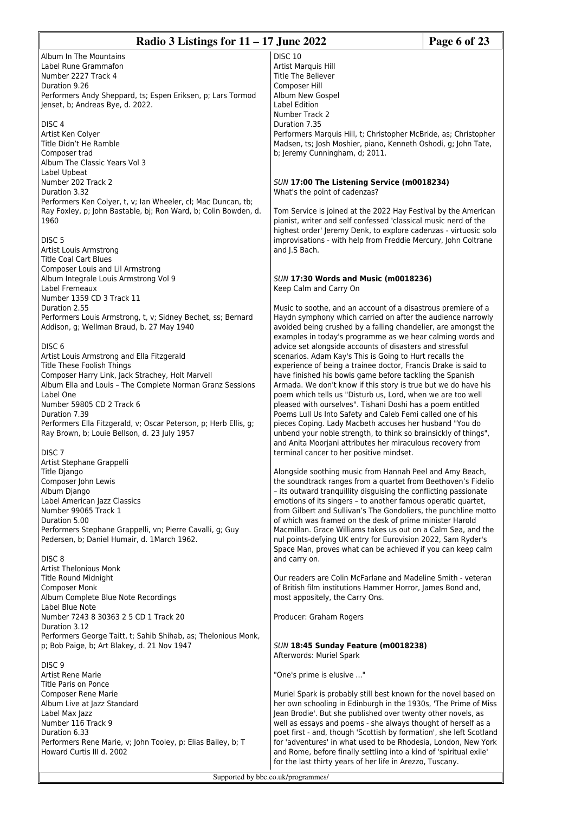| Radio 3 Listings for $11 - 17$ June 2022                                                                                         |                                                                                                                                 | Page 6 of 23 |
|----------------------------------------------------------------------------------------------------------------------------------|---------------------------------------------------------------------------------------------------------------------------------|--------------|
| Album In The Mountains                                                                                                           | <b>DISC 10</b>                                                                                                                  |              |
| Label Rune Grammafon                                                                                                             | Artist Marquis Hill                                                                                                             |              |
| Number 2227 Track 4                                                                                                              | <b>Title The Believer</b>                                                                                                       |              |
| Duration 9.26                                                                                                                    | Composer Hill                                                                                                                   |              |
| Performers Andy Sheppard, ts; Espen Eriksen, p; Lars Tormod                                                                      | Album New Gospel                                                                                                                |              |
| Jenset, b; Andreas Bye, d. 2022.                                                                                                 | Label Edition                                                                                                                   |              |
| DISC <sub>4</sub>                                                                                                                | Number Track 2<br>Duration 7.35                                                                                                 |              |
| Artist Ken Colyer                                                                                                                | Performers Marquis Hill, t; Christopher McBride, as; Christopher                                                                |              |
| Title Didn't He Ramble                                                                                                           | Madsen, ts; Josh Moshier, piano, Kenneth Oshodi, g; John Tate,                                                                  |              |
| Composer trad                                                                                                                    | b; Jeremy Cunningham, d; 2011.                                                                                                  |              |
| Album The Classic Years Vol 3                                                                                                    |                                                                                                                                 |              |
| Label Upbeat                                                                                                                     |                                                                                                                                 |              |
| Number 202 Track 2                                                                                                               | SUN 17:00 The Listening Service (m0018234)                                                                                      |              |
| Duration 3.32                                                                                                                    | What's the point of cadenzas?                                                                                                   |              |
| Performers Ken Colyer, t, v; Ian Wheeler, cl; Mac Duncan, tb;<br>Ray Foxley, p; John Bastable, bj; Ron Ward, b; Colin Bowden, d. | Tom Service is joined at the 2022 Hay Festival by the American                                                                  |              |
| 1960                                                                                                                             | pianist, writer and self confessed 'classical music nerd of the                                                                 |              |
|                                                                                                                                  | highest order' Jeremy Denk, to explore cadenzas - virtuosic solo                                                                |              |
| DISC <sub>5</sub>                                                                                                                | improvisations - with help from Freddie Mercury, John Coltrane                                                                  |              |
| Artist Louis Armstrong                                                                                                           | and J.S Bach.                                                                                                                   |              |
| <b>Title Coal Cart Blues</b>                                                                                                     |                                                                                                                                 |              |
| Composer Louis and Lil Armstrong                                                                                                 |                                                                                                                                 |              |
| Album Integrale Louis Armstrong Vol 9                                                                                            | <b>SUN 17:30 Words and Music (m0018236)</b>                                                                                     |              |
| Label Fremeaux<br>Number 1359 CD 3 Track 11                                                                                      | Keep Calm and Carry On                                                                                                          |              |
| Duration 2.55                                                                                                                    | Music to soothe, and an account of a disastrous premiere of a                                                                   |              |
| Performers Louis Armstrong, t, v; Sidney Bechet, ss; Bernard                                                                     | Haydn symphony which carried on after the audience narrowly                                                                     |              |
| Addison, g; Wellman Braud, b. 27 May 1940                                                                                        | avoided being crushed by a falling chandelier, are amongst the                                                                  |              |
|                                                                                                                                  | examples in today's programme as we hear calming words and                                                                      |              |
| DISC <sub>6</sub>                                                                                                                | advice set alongside accounts of disasters and stressful                                                                        |              |
| Artist Louis Armstrong and Ella Fitzgerald                                                                                       | scenarios. Adam Kay's This is Going to Hurt recalls the                                                                         |              |
| Title These Foolish Things                                                                                                       | experience of being a trainee doctor, Francis Drake is said to                                                                  |              |
| Composer Harry Link, Jack Strachey, Holt Marvell<br>Album Ella and Louis - The Complete Norman Granz Sessions                    | have finished his bowls game before tackling the Spanish<br>Armada. We don't know if this story is true but we do have his      |              |
| Label One                                                                                                                        | poem which tells us "Disturb us, Lord, when we are too well                                                                     |              |
| Number 59805 CD 2 Track 6                                                                                                        | pleased with ourselves". Tishani Doshi has a poem entitled                                                                      |              |
| Duration 7.39                                                                                                                    | Poems Lull Us Into Safety and Caleb Femi called one of his                                                                      |              |
| Performers Ella Fitzgerald, v; Oscar Peterson, p; Herb Ellis, g;                                                                 | pieces Coping. Lady Macbeth accuses her husband "You do                                                                         |              |
| Ray Brown, b; Louie Bellson, d. 23 July 1957                                                                                     | unbend your noble strength, to think so brainsickly of things",                                                                 |              |
|                                                                                                                                  | and Anita Moorjani attributes her miraculous recovery from                                                                      |              |
| DISC <sub>7</sub><br>Artist Stephane Grappelli                                                                                   | terminal cancer to her positive mindset.                                                                                        |              |
| Title Django                                                                                                                     | Alongside soothing music from Hannah Peel and Amy Beach,                                                                        |              |
| Composer John Lewis                                                                                                              | the soundtrack ranges from a quartet from Beethoven's Fidelio                                                                   |              |
| Album Django                                                                                                                     | - its outward tranquillity disguising the conflicting passionate                                                                |              |
| Label American Jazz Classics                                                                                                     | emotions of its singers - to another famous operatic quartet,                                                                   |              |
| Number 99065 Track 1                                                                                                             | from Gilbert and Sullivan's The Gondoliers, the punchline motto                                                                 |              |
| Duration 5.00                                                                                                                    | of which was framed on the desk of prime minister Harold                                                                        |              |
| Performers Stephane Grappelli, vn; Pierre Cavalli, g; Guy<br>Pedersen, b; Daniel Humair, d. 1March 1962.                         | Macmillan. Grace Williams takes us out on a Calm Sea, and the<br>nul points-defying UK entry for Eurovision 2022, Sam Ryder's   |              |
|                                                                                                                                  | Space Man, proves what can be achieved if you can keep calm                                                                     |              |
| DISC <sub>8</sub>                                                                                                                | and carry on.                                                                                                                   |              |
| <b>Artist Thelonious Monk</b>                                                                                                    |                                                                                                                                 |              |
| <b>Title Round Midnight</b>                                                                                                      | Our readers are Colin McFarlane and Madeline Smith - veteran                                                                    |              |
| <b>Composer Monk</b>                                                                                                             | of British film institutions Hammer Horror, James Bond and,                                                                     |              |
| Album Complete Blue Note Recordings                                                                                              | most appositely, the Carry Ons.                                                                                                 |              |
| Label Blue Note<br>Number 7243 8 30363 2 5 CD 1 Track 20                                                                         | Producer: Graham Rogers                                                                                                         |              |
| Duration 3.12                                                                                                                    |                                                                                                                                 |              |
| Performers George Taitt, t; Sahib Shihab, as; Thelonious Monk,                                                                   |                                                                                                                                 |              |
| p; Bob Paige, b; Art Blakey, d. 21 Nov 1947                                                                                      | SUN 18:45 Sunday Feature (m0018238)                                                                                             |              |
|                                                                                                                                  | Afterwords: Muriel Spark                                                                                                        |              |
| DISC <sub>9</sub>                                                                                                                |                                                                                                                                 |              |
| Artist Rene Marie<br>Title Paris on Ponce                                                                                        | "One's prime is elusive "                                                                                                       |              |
| <b>Composer Rene Marie</b>                                                                                                       | Muriel Spark is probably still best known for the novel based on                                                                |              |
| Album Live at Jazz Standard                                                                                                      | her own schooling in Edinburgh in the 1930s, 'The Prime of Miss                                                                 |              |
| Label Max Jazz                                                                                                                   | Jean Brodie'. But she published over twenty other novels, as                                                                    |              |
| Number 116 Track 9                                                                                                               | well as essays and poems - she always thought of herself as a                                                                   |              |
| Duration 6.33                                                                                                                    | poet first - and, though 'Scottish by formation', she left Scotland                                                             |              |
| Performers Rene Marie, v; John Tooley, p; Elias Bailey, b; T                                                                     | for 'adventures' in what used to be Rhodesia, London, New York                                                                  |              |
| Howard Curtis III d. 2002                                                                                                        | and Rome, before finally settling into a kind of 'spiritual exile'<br>for the last thirty years of her life in Arezzo, Tuscany. |              |
|                                                                                                                                  |                                                                                                                                 |              |
| Supported by bbc.co.uk/programmes/                                                                                               |                                                                                                                                 |              |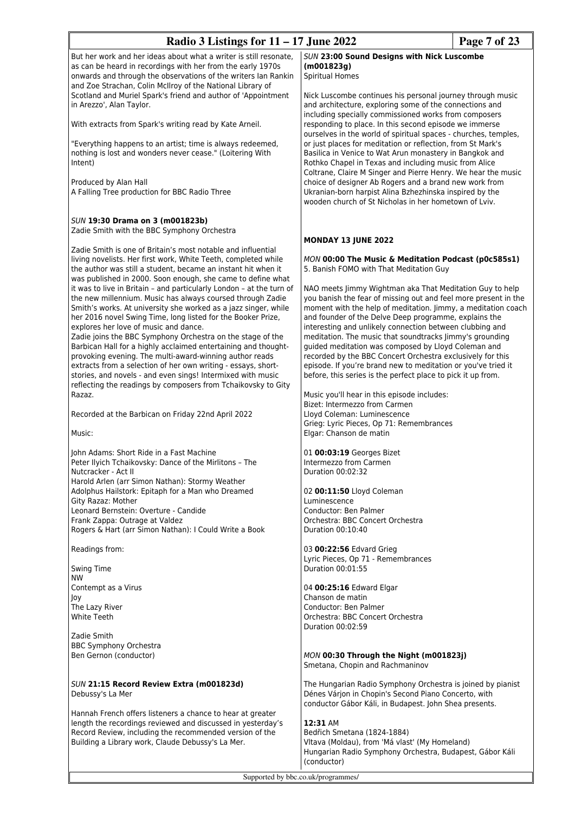| Radio 3 Listings for $11 - 17$ June 2022                                                                                                                                                                                                                                                                                                                         | Page 7 of 23                                                                                                                                                                                                                                                                                                                                                               |  |
|------------------------------------------------------------------------------------------------------------------------------------------------------------------------------------------------------------------------------------------------------------------------------------------------------------------------------------------------------------------|----------------------------------------------------------------------------------------------------------------------------------------------------------------------------------------------------------------------------------------------------------------------------------------------------------------------------------------------------------------------------|--|
| But her work and her ideas about what a writer is still resonate,<br>as can be heard in recordings with her from the early 1970s<br>onwards and through the observations of the writers Ian Rankin                                                                                                                                                               | SUN 23:00 Sound Designs with Nick Luscombe<br>(m001823g)<br><b>Spiritual Homes</b>                                                                                                                                                                                                                                                                                         |  |
| and Zoe Strachan, Colin McIlroy of the National Library of<br>Scotland and Muriel Spark's friend and author of 'Appointment<br>in Arezzo', Alan Taylor.                                                                                                                                                                                                          | Nick Luscombe continues his personal journey through music<br>and architecture, exploring some of the connections and                                                                                                                                                                                                                                                      |  |
| With extracts from Spark's writing read by Kate Arneil.                                                                                                                                                                                                                                                                                                          | including specially commissioned works from composers<br>responding to place. In this second episode we immerse                                                                                                                                                                                                                                                            |  |
| "Everything happens to an artist; time is always redeemed,<br>nothing is lost and wonders never cease." (Loitering With<br>Intent)                                                                                                                                                                                                                               | ourselves in the world of spiritual spaces - churches, temples,<br>or just places for meditation or reflection, from St Mark's<br>Basilica in Venice to Wat Arun monastery in Bangkok and<br>Rothko Chapel in Texas and including music from Alice<br>Coltrane, Claire M Singer and Pierre Henry. We hear the music                                                        |  |
| Produced by Alan Hall<br>A Falling Tree production for BBC Radio Three                                                                                                                                                                                                                                                                                           | choice of designer Ab Rogers and a brand new work from<br>Ukranian-born harpist Alina Bzhezhinska inspired by the<br>wooden church of St Nicholas in her hometown of Lviv.                                                                                                                                                                                                 |  |
| SUN 19:30 Drama on 3 (m001823b)<br>Zadie Smith with the BBC Symphony Orchestra                                                                                                                                                                                                                                                                                   |                                                                                                                                                                                                                                                                                                                                                                            |  |
| Zadie Smith is one of Britain's most notable and influential                                                                                                                                                                                                                                                                                                     | MONDAY 13 JUNE 2022                                                                                                                                                                                                                                                                                                                                                        |  |
| living novelists. Her first work, White Teeth, completed while<br>the author was still a student, became an instant hit when it<br>was published in 2000. Soon enough, she came to define what                                                                                                                                                                   | MON 00:00 The Music & Meditation Podcast (p0c585s1)<br>5. Banish FOMO with That Meditation Guy                                                                                                                                                                                                                                                                             |  |
| it was to live in Britain - and particularly London - at the turn of<br>the new millennium. Music has always coursed through Zadie<br>Smith's works. At university she worked as a jazz singer, while<br>her 2016 novel Swing Time, long listed for the Booker Prize,                                                                                            | NAO meets Jimmy Wightman aka That Meditation Guy to help<br>you banish the fear of missing out and feel more present in the<br>moment with the help of meditation. Jimmy, a meditation coach<br>and founder of the Delve Deep programme, explains the                                                                                                                      |  |
| explores her love of music and dance.<br>Zadie joins the BBC Symphony Orchestra on the stage of the<br>Barbican Hall for a highly acclaimed entertaining and thought-<br>provoking evening. The multi-award-winning author reads<br>extracts from a selection of her own writing - essays, short-<br>stories, and novels - and even sings! Intermixed with music | interesting and unlikely connection between clubbing and<br>meditation. The music that soundtracks Jimmy's grounding<br>guided meditation was composed by Lloyd Coleman and<br>recorded by the BBC Concert Orchestra exclusively for this<br>episode. If you're brand new to meditation or you've tried it<br>before, this series is the perfect place to pick it up from. |  |
| reflecting the readings by composers from Tchaikovsky to Gity<br>Razaz.                                                                                                                                                                                                                                                                                          | Music you'll hear in this episode includes:<br>Bizet: Intermezzo from Carmen                                                                                                                                                                                                                                                                                               |  |
| Recorded at the Barbican on Friday 22nd April 2022                                                                                                                                                                                                                                                                                                               | Lloyd Coleman: Luminescence                                                                                                                                                                                                                                                                                                                                                |  |
| Music:                                                                                                                                                                                                                                                                                                                                                           | Grieg: Lyric Pieces, Op 71: Remembrances<br>Elgar: Chanson de matin                                                                                                                                                                                                                                                                                                        |  |
| John Adams: Short Ride in a Fast Machine                                                                                                                                                                                                                                                                                                                         | 01 00:03:19 Georges Bizet                                                                                                                                                                                                                                                                                                                                                  |  |
| Peter Ilyich Tchaikovsky: Dance of the Mirlitons - The<br>Nutcracker - Act II                                                                                                                                                                                                                                                                                    | Intermezzo from Carmen<br>Duration 00:02:32                                                                                                                                                                                                                                                                                                                                |  |
| Harold Arlen (arr Simon Nathan): Stormy Weather                                                                                                                                                                                                                                                                                                                  |                                                                                                                                                                                                                                                                                                                                                                            |  |
| Adolphus Hailstork: Epitaph for a Man who Dreamed<br>Gity Razaz: Mother                                                                                                                                                                                                                                                                                          | 02 00:11:50 Lloyd Coleman<br>Luminescence                                                                                                                                                                                                                                                                                                                                  |  |
| Leonard Bernstein: Overture - Candide                                                                                                                                                                                                                                                                                                                            | Conductor: Ben Palmer                                                                                                                                                                                                                                                                                                                                                      |  |
| Frank Zappa: Outrage at Valdez                                                                                                                                                                                                                                                                                                                                   | Orchestra: BBC Concert Orchestra                                                                                                                                                                                                                                                                                                                                           |  |
| Rogers & Hart (arr Simon Nathan): I Could Write a Book                                                                                                                                                                                                                                                                                                           | Duration 00:10:40                                                                                                                                                                                                                                                                                                                                                          |  |
| Readings from:<br><b>Swing Time</b>                                                                                                                                                                                                                                                                                                                              | 03 00:22:56 Edvard Grieg<br>Lyric Pieces, Op 71 - Remembrances<br>Duration 00:01:55                                                                                                                                                                                                                                                                                        |  |
| <b>NW</b>                                                                                                                                                                                                                                                                                                                                                        |                                                                                                                                                                                                                                                                                                                                                                            |  |
| Contempt as a Virus<br>Joy                                                                                                                                                                                                                                                                                                                                       | 04 00:25:16 Edward Elgar<br>Chanson de matin                                                                                                                                                                                                                                                                                                                               |  |
| The Lazy River                                                                                                                                                                                                                                                                                                                                                   | Conductor: Ben Palmer                                                                                                                                                                                                                                                                                                                                                      |  |
| <b>White Teeth</b>                                                                                                                                                                                                                                                                                                                                               | Orchestra: BBC Concert Orchestra<br>Duration 00:02:59                                                                                                                                                                                                                                                                                                                      |  |
| Zadie Smith                                                                                                                                                                                                                                                                                                                                                      |                                                                                                                                                                                                                                                                                                                                                                            |  |
| <b>BBC Symphony Orchestra</b>                                                                                                                                                                                                                                                                                                                                    |                                                                                                                                                                                                                                                                                                                                                                            |  |
| Ben Gernon (conductor)                                                                                                                                                                                                                                                                                                                                           | MON 00:30 Through the Night (m001823j)<br>Smetana, Chopin and Rachmaninov                                                                                                                                                                                                                                                                                                  |  |
| SUN 21:15 Record Review Extra (m001823d)<br>Debussy's La Mer                                                                                                                                                                                                                                                                                                     | The Hungarian Radio Symphony Orchestra is joined by pianist<br>Dénes Várjon in Chopin's Second Piano Concerto, with<br>conductor Gábor Káli, in Budapest. John Shea presents.                                                                                                                                                                                              |  |
| Hannah French offers listeners a chance to hear at greater                                                                                                                                                                                                                                                                                                       |                                                                                                                                                                                                                                                                                                                                                                            |  |
| length the recordings reviewed and discussed in yesterday's                                                                                                                                                                                                                                                                                                      | 12:31 AM                                                                                                                                                                                                                                                                                                                                                                   |  |
| Record Review, including the recommended version of the<br>Building a Library work, Claude Debussy's La Mer.                                                                                                                                                                                                                                                     | Bedřich Smetana (1824-1884)<br>Vltava (Moldau), from 'Má vlast' (My Homeland)                                                                                                                                                                                                                                                                                              |  |

(conductor)

Hungarian Radio Symphony Orchestra, Budapest, Gábor Káli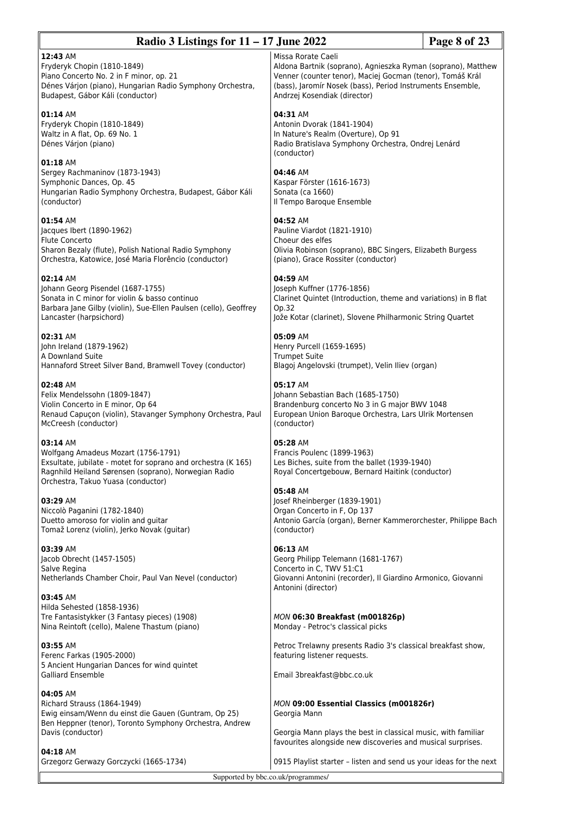| Radio 3 Listings for $11 - 17$ June 2022                                                                                                                                                                       | Page 8 of 23                                                                                                                                                                                                                                  |  |
|----------------------------------------------------------------------------------------------------------------------------------------------------------------------------------------------------------------|-----------------------------------------------------------------------------------------------------------------------------------------------------------------------------------------------------------------------------------------------|--|
| 12:43 AM<br>Fryderyk Chopin (1810-1849)<br>Piano Concerto No. 2 in F minor, op. 21<br>Dénes Várjon (piano), Hungarian Radio Symphony Orchestra,<br>Budapest, Gábor Káli (conductor)                            | Missa Rorate Caeli<br>Aldona Bartnik (soprano), Agnieszka Ryman (soprano), Matthew<br>Venner (counter tenor), Maciej Gocman (tenor), Tomáš Král<br>(bass), Jaromír Nosek (bass), Period Instruments Ensemble,<br>Andrzej Kosendiak (director) |  |
| 01:14 AM<br>Fryderyk Chopin (1810-1849)<br>Waltz in A flat, Op. 69 No. 1<br>Dénes Várjon (piano)                                                                                                               | 04:31 AM<br>Antonin Dvorak (1841-1904)<br>In Nature's Realm (Overture), Op 91<br>Radio Bratislava Symphony Orchestra, Ondrej Lenárd<br>(conductor)                                                                                            |  |
| 01:18 AM<br>Sergey Rachmaninov (1873-1943)<br>Symphonic Dances, Op. 45<br>Hungarian Radio Symphony Orchestra, Budapest, Gábor Káli<br>(conductor)                                                              | 04:46 AM<br>Kaspar Förster (1616-1673)<br>Sonata (ca 1660)<br>Il Tempo Baroque Ensemble                                                                                                                                                       |  |
| 01:54 AM<br>Jacques Ibert (1890-1962)<br><b>Flute Concerto</b><br>Sharon Bezaly (flute), Polish National Radio Symphony<br>Orchestra, Katowice, José Maria Florêncio (conductor)                               | 04:52 AM<br>Pauline Viardot (1821-1910)<br>Choeur des elfes<br>Olivia Robinson (soprano), BBC Singers, Elizabeth Burgess<br>(piano), Grace Rossiter (conductor)                                                                               |  |
| 02:14 AM<br>Johann Georg Pisendel (1687-1755)<br>Sonata in C minor for violin & basso continuo<br>Barbara Jane Gilby (violin), Sue-Ellen Paulsen (cello), Geoffrey<br>Lancaster (harpsichord)                  | 04:59 AM<br>Joseph Kuffner (1776-1856)<br>Clarinet Quintet (Introduction, theme and variations) in B flat<br>Op.32<br>Jože Kotar (clarinet), Slovene Philharmonic String Quartet                                                              |  |
| 02:31 AM<br>John Ireland (1879-1962)<br>A Downland Suite<br>Hannaford Street Silver Band, Bramwell Tovey (conductor)                                                                                           | 05:09 AM<br>Henry Purcell (1659-1695)<br><b>Trumpet Suite</b><br>Blagoj Angelovski (trumpet), Velin Iliev (organ)                                                                                                                             |  |
| 02:48 AM<br>Felix Mendelssohn (1809-1847)<br>Violin Concerto in E minor, Op 64<br>Renaud Capuçon (violin), Stavanger Symphony Orchestra, Paul<br>McCreesh (conductor)                                          | 05:17 AM<br>Johann Sebastian Bach (1685-1750)<br>Brandenburg concerto No 3 in G major BWV 1048<br>European Union Baroque Orchestra, Lars Ulrik Mortensen<br>(conductor)                                                                       |  |
| 03:14 AM<br>Wolfgang Amadeus Mozart (1756-1791)<br>Exsultate, jubilate - motet for soprano and orchestra (K 165)<br>Ragnhild Heiland Sørensen (soprano), Norwegian Radio<br>Orchestra, Takuo Yuasa (conductor) | 05:28 AM<br>Francis Poulenc (1899-1963)<br>Les Biches, suite from the ballet (1939-1940)<br>Royal Concertgebouw, Bernard Haitink (conductor)                                                                                                  |  |
| 03:29 AM<br>Niccolò Paganini (1782-1840)<br>Duetto amoroso for violin and guitar<br>Tomaž Lorenz (violin), Jerko Novak (guitar)                                                                                | 05:48 AM<br>Josef Rheinberger (1839-1901)<br>Organ Concerto in F, Op 137<br>Antonio García (organ), Berner Kammerorchester, Philippe Bach<br>(conductor)                                                                                      |  |
| 03:39 AM<br>Jacob Obrecht (1457-1505)<br>Salve Regina<br>Netherlands Chamber Choir, Paul Van Nevel (conductor)<br>03:45 AM                                                                                     | 06:13 AM<br>Georg Philipp Telemann (1681-1767)<br>Concerto in C, TWV 51:C1<br>Giovanni Antonini (recorder), Il Giardino Armonico, Giovanni<br>Antonini (director)                                                                             |  |
| Hilda Sehested (1858-1936)<br>Tre Fantasistykker (3 Fantasy pieces) (1908)<br>Nina Reintoft (cello), Malene Thastum (piano)                                                                                    | MON 06:30 Breakfast (m001826p)<br>Monday - Petroc's classical picks                                                                                                                                                                           |  |
| 03:55 AM<br>Ferenc Farkas (1905-2000)<br>5 Ancient Hungarian Dances for wind quintet<br><b>Galliard Ensemble</b>                                                                                               | Petroc Trelawny presents Radio 3's classical breakfast show,<br>featuring listener requests.<br>Email 3breakfast@bbc.co.uk                                                                                                                    |  |
| 04:05 AM<br>Richard Strauss (1864-1949)<br>Ewig einsam/Wenn du einst die Gauen (Guntram, Op 25)<br>Ben Heppner (tenor), Toronto Symphony Orchestra, Andrew                                                     | MON 09:00 Essential Classics (m001826r)<br>Georgia Mann                                                                                                                                                                                       |  |
| Davis (conductor)<br>04:18 AM<br>Grzegorz Gerwazy Gorczycki (1665-1734)                                                                                                                                        | Georgia Mann plays the best in classical music, with familiar<br>favourites alongside new discoveries and musical surprises.<br>0915 Playlist starter - listen and send us your ideas for the next                                            |  |
| Supported by bbc.co.uk/programmes/                                                                                                                                                                             |                                                                                                                                                                                                                                               |  |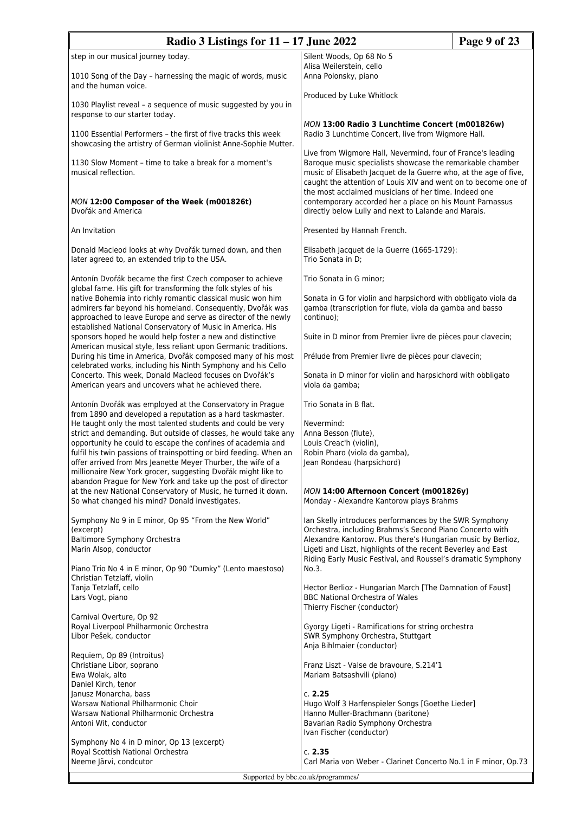| Radio 3 Listings for $11 - 17$ June 2022                                                                                                                                                                                                                 |                                                                                                                                                                                                                                                                | Page 9 of 23 |
|----------------------------------------------------------------------------------------------------------------------------------------------------------------------------------------------------------------------------------------------------------|----------------------------------------------------------------------------------------------------------------------------------------------------------------------------------------------------------------------------------------------------------------|--------------|
| step in our musical journey today.                                                                                                                                                                                                                       | Silent Woods, Op 68 No 5                                                                                                                                                                                                                                       |              |
| 1010 Song of the Day – harnessing the magic of words, music<br>and the human voice.                                                                                                                                                                      | Alisa Weilerstein, cello<br>Anna Polonsky, piano                                                                                                                                                                                                               |              |
| 1030 Playlist reveal - a sequence of music suggested by you in<br>response to our starter today.                                                                                                                                                         | Produced by Luke Whitlock                                                                                                                                                                                                                                      |              |
| 1100 Essential Performers - the first of five tracks this week<br>showcasing the artistry of German violinist Anne-Sophie Mutter.                                                                                                                        | MON 13:00 Radio 3 Lunchtime Concert (m001826w)<br>Radio 3 Lunchtime Concert, live from Wigmore Hall.                                                                                                                                                           |              |
| 1130 Slow Moment - time to take a break for a moment's<br>musical reflection.                                                                                                                                                                            | Live from Wigmore Hall, Nevermind, four of France's leading<br>Baroque music specialists showcase the remarkable chamber<br>music of Elisabeth Jacquet de la Guerre who, at the age of five,<br>caught the attention of Louis XIV and went on to become one of |              |
| MON 12:00 Composer of the Week (m001826t)<br>Dvořák and America                                                                                                                                                                                          | the most acclaimed musicians of her time. Indeed one<br>contemporary accorded her a place on his Mount Parnassus<br>directly below Lully and next to Lalande and Marais.                                                                                       |              |
| An Invitation                                                                                                                                                                                                                                            | Presented by Hannah French.                                                                                                                                                                                                                                    |              |
| Donald Macleod looks at why Dvořák turned down, and then<br>later agreed to, an extended trip to the USA.                                                                                                                                                | Elisabeth Jacquet de la Guerre (1665-1729):<br>Trio Sonata in D;                                                                                                                                                                                               |              |
| Antonín Dvořák became the first Czech composer to achieve<br>global fame. His gift for transforming the folk styles of his                                                                                                                               | Trio Sonata in G minor;                                                                                                                                                                                                                                        |              |
| native Bohemia into richly romantic classical music won him<br>admirers far beyond his homeland. Consequently, Dvořák was<br>approached to leave Europe and serve as director of the newly<br>established National Conservatory of Music in America. His | Sonata in G for violin and harpsichord with obbligato viola da<br>gamba (transcription for flute, viola da gamba and basso<br>continuo);                                                                                                                       |              |
| sponsors hoped he would help foster a new and distinctive<br>American musical style, less reliant upon Germanic traditions.                                                                                                                              | Suite in D minor from Premier livre de pièces pour clavecin;                                                                                                                                                                                                   |              |
| During his time in America, Dvořák composed many of his most<br>celebrated works, including his Ninth Symphony and his Cello                                                                                                                             | Prélude from Premier livre de pièces pour clavecin;                                                                                                                                                                                                            |              |
| Concerto. This week, Donald Macleod focuses on Dvořák's<br>American years and uncovers what he achieved there.                                                                                                                                           | Sonata in D minor for violin and harpsichord with obbligato<br>viola da gamba;                                                                                                                                                                                 |              |
| Antonín Dvořák was employed at the Conservatory in Prague<br>from 1890 and developed a reputation as a hard taskmaster.                                                                                                                                  | Trio Sonata in B flat.                                                                                                                                                                                                                                         |              |
| He taught only the most talented students and could be very<br>strict and demanding. But outside of classes, he would take any<br>opportunity he could to escape the confines of academia and                                                            | Nevermind:<br>Anna Besson (flute),<br>Louis Creac'h (violin),                                                                                                                                                                                                  |              |
| fulfil his twin passions of trainspotting or bird feeding. When an<br>offer arrived from Mrs Jeanette Meyer Thurber, the wife of a<br>millionaire New York grocer, suggesting Dvořák might like to                                                       | Robin Pharo (viola da gamba),<br>Jean Rondeau (harpsichord)                                                                                                                                                                                                    |              |
| abandon Prague for New York and take up the post of director<br>at the new National Conservatory of Music, he turned it down.<br>So what changed his mind? Donald investigates.                                                                          | MON 14:00 Afternoon Concert (m001826y)<br>Monday - Alexandre Kantorow plays Brahms                                                                                                                                                                             |              |
| Symphony No 9 in E minor, Op 95 "From the New World"<br>(excerpt)                                                                                                                                                                                        | Ian Skelly introduces performances by the SWR Symphony<br>Orchestra, including Brahms's Second Piano Concerto with                                                                                                                                             |              |
| Baltimore Symphony Orchestra<br>Marin Alsop, conductor                                                                                                                                                                                                   | Alexandre Kantorow. Plus there's Hungarian music by Berlioz,<br>Ligeti and Liszt, highlights of the recent Beverley and East<br>Riding Early Music Festival, and Roussel's dramatic Symphony                                                                   |              |
| Piano Trio No 4 in E minor, Op 90 "Dumky" (Lento maestoso)<br>Christian Tetzlaff, violin                                                                                                                                                                 | No.3.                                                                                                                                                                                                                                                          |              |
| Tanja Tetzlaff, cello<br>Lars Vogt, piano                                                                                                                                                                                                                | Hector Berlioz - Hungarian March [The Damnation of Faust]<br>BBC National Orchestra of Wales<br>Thierry Fischer (conductor)                                                                                                                                    |              |
| Carnival Overture, Op 92<br>Royal Liverpool Philharmonic Orchestra<br>Libor Pešek, conductor                                                                                                                                                             | Gyorgy Ligeti - Ramifications for string orchestra<br>SWR Symphony Orchestra, Stuttgart<br>Anja Bihlmaier (conductor)                                                                                                                                          |              |
| Requiem, Op 89 (Introitus)<br>Christiane Libor, soprano                                                                                                                                                                                                  | Franz Liszt - Valse de bravoure, S.214'1                                                                                                                                                                                                                       |              |
| Ewa Wolak, alto<br>Daniel Kirch, tenor                                                                                                                                                                                                                   | Mariam Batsashvili (piano)                                                                                                                                                                                                                                     |              |
| Janusz Monarcha, bass<br>Warsaw National Philharmonic Choir                                                                                                                                                                                              | c. 2.25<br>Hugo Wolf 3 Harfenspieler Songs [Goethe Lieder]                                                                                                                                                                                                     |              |
| Warsaw National Philharmonic Orchestra<br>Antoni Wit, conductor                                                                                                                                                                                          | Hanno Muller-Brachmann (baritone)<br>Bavarian Radio Symphony Orchestra<br>Ivan Fischer (conductor)                                                                                                                                                             |              |
| Symphony No 4 in D minor, Op 13 (excerpt)<br>Royal Scottish National Orchestra                                                                                                                                                                           | c. 2.35                                                                                                                                                                                                                                                        |              |
| Neeme Järvi, condcutor                                                                                                                                                                                                                                   | Carl Maria von Weber - Clarinet Concerto No.1 in F minor, Op.73                                                                                                                                                                                                |              |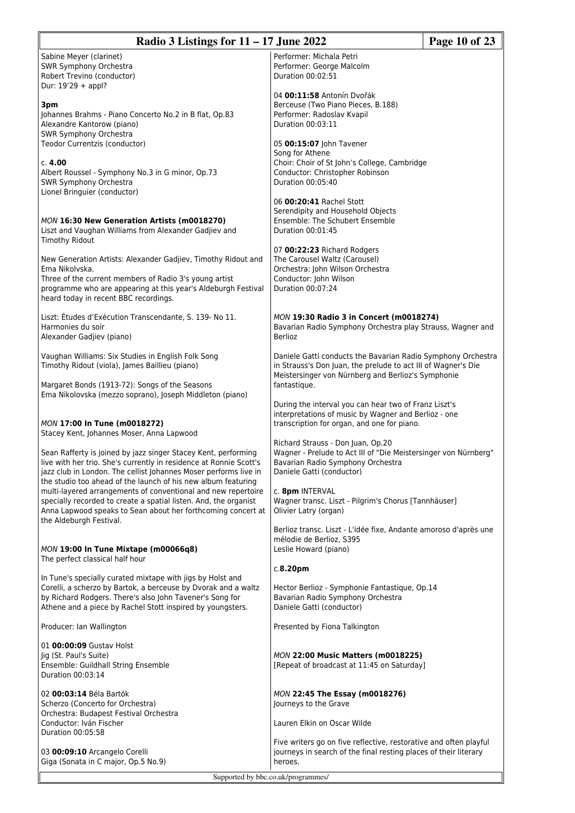| Radio 3 Listings for $11 - 17$ June 2022<br>Page 10 of 23                                                                                                                                                                                                                 |                                                                                                                                                                                     |  |  |
|---------------------------------------------------------------------------------------------------------------------------------------------------------------------------------------------------------------------------------------------------------------------------|-------------------------------------------------------------------------------------------------------------------------------------------------------------------------------------|--|--|
| Sabine Meyer (clarinet)<br>SWR Symphony Orchestra<br>Robert Trevino (conductor)                                                                                                                                                                                           | Performer: Michala Petri<br>Performer: George Malcolm<br>Duration 00:02:51                                                                                                          |  |  |
| Dur: 19'29 + appl?<br>3pm<br>Johannes Brahms - Piano Concerto No.2 in B flat, Op.83<br>Alexandre Kantorow (piano)<br>SWR Symphony Orchestra                                                                                                                               | 04 00:11:58 Antonín Dvořák<br>Berceuse (Two Piano Pieces, B.188)<br>Performer: Radoslav Kvapil<br>Duration 00:03:11                                                                 |  |  |
| Teodor Currentzis (conductor)                                                                                                                                                                                                                                             | 05 00:15:07 John Tavener<br>Song for Athene                                                                                                                                         |  |  |
| c. 4.00<br>Albert Roussel - Symphony No.3 in G minor, Op.73<br>SWR Symphony Orchestra<br>Lionel Bringuier (conductor)                                                                                                                                                     | Choir: Choir of St John's College, Cambridge<br>Conductor: Christopher Robinson<br>Duration 00:05:40                                                                                |  |  |
| MON 16:30 New Generation Artists (m0018270)<br>Liszt and Vaughan Williams from Alexander Gadjiev and<br><b>Timothy Ridout</b>                                                                                                                                             | 06 00:20:41 Rachel Stott<br>Serendipity and Household Objects<br>Ensemble: The Schubert Ensemble<br>Duration 00:01:45                                                               |  |  |
| New Generation Artists: Alexander Gadjiev, Timothy Ridout and<br>Ema Nikolvska.<br>Three of the current members of Radio 3's young artist<br>programme who are appearing at this year's Aldeburgh Festival<br>heard today in recent BBC recordings.                       | 07 00:22:23 Richard Rodgers<br>The Carousel Waltz (Carousel)<br>Orchestra: John Wilson Orchestra<br>Conductor: John Wilson<br>Duration 00:07:24                                     |  |  |
| Liszt: Études d'Exécution Transcendante, S. 139- No 11.<br>Harmonies du soir<br>Alexander Gadjiev (piano)                                                                                                                                                                 | MON 19:30 Radio 3 in Concert (m0018274)<br>Bavarian Radio Symphony Orchestra play Strauss, Wagner and<br><b>Berlioz</b>                                                             |  |  |
| Vaughan Williams: Six Studies in English Folk Song<br>Timothy Ridout (viola), James Baillieu (piano)                                                                                                                                                                      | Daniele Gatti conducts the Bavarian Radio Symphony Orchestra<br>in Strauss's Don Juan, the prelude to act III of Wagner's Die<br>Meistersinger von Nürnberg and Berlioz's Symphonie |  |  |
| Margaret Bonds (1913-72): Songs of the Seasons<br>Ema Nikolovska (mezzo soprano), Joseph Middleton (piano)                                                                                                                                                                | fantastique.<br>During the interval you can hear two of Franz Liszt's                                                                                                               |  |  |
| MON 17:00 In Tune (m0018272)<br>Stacey Kent, Johannes Moser, Anna Lapwood                                                                                                                                                                                                 | interpretations of music by Wagner and Berlioz - one<br>transcription for organ, and one for piano.                                                                                 |  |  |
| Sean Rafferty is joined by jazz singer Stacey Kent, performing<br>live with her trio. She's currently in residence at Ronnie Scott's<br>jazz club in London. The cellist Johannes Moser performs live in<br>the studio too ahead of the launch of his new album featuring | Richard Strauss - Don Juan, Op.20<br>Wagner - Prelude to Act III of "Die Meistersinger von Nürnberg"<br>Bavarian Radio Symphony Orchestra<br>Daniele Gatti (conductor)              |  |  |
| multi-layered arrangements of conventional and new repertoire<br>specially recorded to create a spatial listen. And, the organist<br>Anna Lapwood speaks to Sean about her forthcoming concert at<br>the Aldeburgh Festival.                                              | c. 8pm INTERVAL<br>Wagner transc. Liszt - Pilgrim's Chorus [Tannhäuser]<br>Olivier Latry (organ)                                                                                    |  |  |
| MON 19:00 In Tune Mixtape (m00066q8)<br>The perfect classical half hour                                                                                                                                                                                                   | Berlioz transc. Liszt - L'idée fixe, Andante amoroso d'après une<br>mélodie de Berlioz, S395<br>Leslie Howard (piano)                                                               |  |  |
|                                                                                                                                                                                                                                                                           | c.8.20 <sub>pm</sub>                                                                                                                                                                |  |  |
| In Tune's specially curated mixtape with jigs by Holst and<br>Corelli, a scherzo by Bartok, a berceuse by Dvorak and a waltz<br>by Richard Rodgers. There's also John Tavener's Song for<br>Athene and a piece by Rachel Stott inspired by youngsters.                    | Hector Berlioz - Symphonie Fantastique, Op.14<br>Bavarian Radio Symphony Orchestra<br>Daniele Gatti (conductor)                                                                     |  |  |
| Producer: Ian Wallington                                                                                                                                                                                                                                                  | Presented by Fiona Talkington                                                                                                                                                       |  |  |
| 01 00:00:09 Gustav Holst<br>Jig (St. Paul's Suite)<br>Ensemble: Guildhall String Ensemble<br>Duration 00:03:14                                                                                                                                                            | <b>MON 22:00 Music Matters (m0018225)</b><br>[Repeat of broadcast at 11:45 on Saturday]                                                                                             |  |  |
| 02 00:03:14 Béla Bartók<br>Scherzo (Concerto for Orchestra)<br>Orchestra: Budapest Festival Orchestra                                                                                                                                                                     | MON 22:45 The Essay (m0018276)<br>Journeys to the Grave                                                                                                                             |  |  |
| Conductor: Iván Fischer<br>Duration 00:05:58                                                                                                                                                                                                                              | Lauren Elkin on Oscar Wilde                                                                                                                                                         |  |  |
| 03 00:09:10 Arcangelo Corelli<br>Giga (Sonata in C major, Op.5 No.9)                                                                                                                                                                                                      | Five writers go on five reflective, restorative and often playful<br>journeys in search of the final resting places of their literary<br>heroes.                                    |  |  |
|                                                                                                                                                                                                                                                                           | Supported by bbc.co.uk/programmes/                                                                                                                                                  |  |  |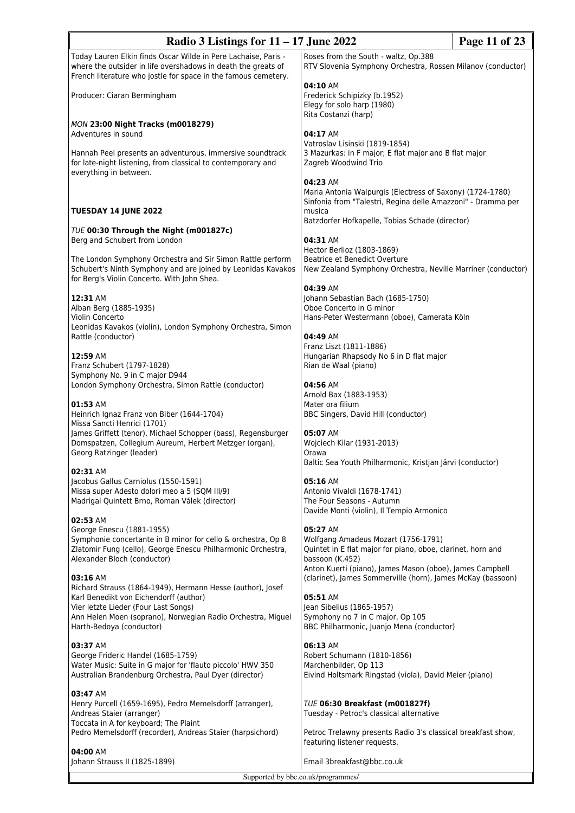| Page 11 of 23<br>Radio 3 Listings for $11 - 17$ June 2022                                                                       |                                                                                                                           |  |
|---------------------------------------------------------------------------------------------------------------------------------|---------------------------------------------------------------------------------------------------------------------------|--|
| Today Lauren Elkin finds Oscar Wilde in Pere Lachaise, Paris -                                                                  | Roses from the South - waltz, Op.388                                                                                      |  |
| where the outsider in life overshadows in death the greats of<br>French literature who jostle for space in the famous cemetery. | RTV Slovenia Symphony Orchestra, Rossen Milanov (conductor)                                                               |  |
|                                                                                                                                 | 04:10 AM                                                                                                                  |  |
| Producer: Ciaran Bermingham                                                                                                     | Frederick Schipizky (b.1952)<br>Elegy for solo harp (1980)                                                                |  |
|                                                                                                                                 | Rita Costanzi (harp)                                                                                                      |  |
| MON 23:00 Night Tracks (m0018279)                                                                                               |                                                                                                                           |  |
| Adventures in sound                                                                                                             | 04:17 AM                                                                                                                  |  |
| Hannah Peel presents an adventurous, immersive soundtrack                                                                       | Vatroslav Lisinski (1819-1854)<br>3 Mazurkas: in F major; E flat major and B flat major                                   |  |
| for late-night listening, from classical to contemporary and                                                                    | Zagreb Woodwind Trio                                                                                                      |  |
| everything in between.                                                                                                          |                                                                                                                           |  |
|                                                                                                                                 | 04:23 AM                                                                                                                  |  |
|                                                                                                                                 | Maria Antonia Walpurgis (Electress of Saxony) (1724-1780)<br>Sinfonia from "Talestri, Regina delle Amazzoni" - Dramma per |  |
| <b>TUESDAY 14 JUNE 2022</b>                                                                                                     | musica                                                                                                                    |  |
|                                                                                                                                 | Batzdorfer Hofkapelle, Tobias Schade (director)                                                                           |  |
| TUE 00:30 Through the Night (m001827c)<br>Berg and Schubert from London                                                         | 04:31 AM                                                                                                                  |  |
|                                                                                                                                 | Hector Berlioz (1803-1869)                                                                                                |  |
| The London Symphony Orchestra and Sir Simon Rattle perform                                                                      | Beatrice et Benedict Overture                                                                                             |  |
| Schubert's Ninth Symphony and are joined by Leonidas Kavakos                                                                    | New Zealand Symphony Orchestra, Neville Marriner (conductor)                                                              |  |
| for Berg's Violin Concerto. With John Shea.                                                                                     | 04:39 AM                                                                                                                  |  |
| 12:31 AM                                                                                                                        | Johann Sebastian Bach (1685-1750)                                                                                         |  |
| Alban Berg (1885-1935)                                                                                                          | Oboe Concerto in G minor                                                                                                  |  |
| Violin Concerto<br>Leonidas Kavakos (violin), London Symphony Orchestra, Simon                                                  | Hans-Peter Westermann (oboe), Camerata Köln                                                                               |  |
| Rattle (conductor)                                                                                                              | 04:49 AM                                                                                                                  |  |
|                                                                                                                                 | Franz Liszt (1811-1886)                                                                                                   |  |
| 12:59 AM                                                                                                                        | Hungarian Rhapsody No 6 in D flat major                                                                                   |  |
| Franz Schubert (1797-1828)                                                                                                      | Rian de Waal (piano)                                                                                                      |  |
| Symphony No. 9 in C major D944<br>London Symphony Orchestra, Simon Rattle (conductor)                                           | 04:56 AM                                                                                                                  |  |
|                                                                                                                                 | Arnold Bax (1883-1953)                                                                                                    |  |
| 01:53 AM                                                                                                                        | Mater ora filium                                                                                                          |  |
| Heinrich Ignaz Franz von Biber (1644-1704)<br>Missa Sancti Henrici (1701)                                                       | BBC Singers, David Hill (conductor)                                                                                       |  |
| James Griffett (tenor), Michael Schopper (bass), Regensburger                                                                   | 05:07 AM                                                                                                                  |  |
| Domspatzen, Collegium Aureum, Herbert Metzger (organ),                                                                          | Wojciech Kilar (1931-2013)                                                                                                |  |
| Georg Ratzinger (leader)                                                                                                        | Orawa<br>Baltic Sea Youth Philharmonic, Kristjan Järvi (conductor)                                                        |  |
| 02:31 AM                                                                                                                        |                                                                                                                           |  |
| Jacobus Gallus Carniolus (1550-1591)<br>Missa super Adesto dolori meo a 5 (SQM III/9)                                           | 05:16 AM<br>Antonio Vivaldi (1678-1741)                                                                                   |  |
| Madrigal Quintett Brno, Roman Válek (director)                                                                                  | The Four Seasons - Autumn                                                                                                 |  |
|                                                                                                                                 | Davide Monti (violin), Il Tempio Armonico                                                                                 |  |
| 02:53 AM<br>George Enescu (1881-1955)                                                                                           | 05:27 AM                                                                                                                  |  |
| Symphonie concertante in B minor for cello & orchestra, Op 8                                                                    | Wolfgang Amadeus Mozart (1756-1791)                                                                                       |  |
| Zlatomir Fung (cello), George Enescu Philharmonic Orchestra,                                                                    | Quintet in E flat major for piano, oboe, clarinet, horn and                                                               |  |
| Alexander Bloch (conductor)                                                                                                     | bassoon (K.452)<br>Anton Kuerti (piano), James Mason (oboe), James Campbell                                               |  |
| 03:16 AM                                                                                                                        | (clarinet), James Sommerville (horn), James McKay (bassoon)                                                               |  |
| Richard Strauss (1864-1949), Hermann Hesse (author), Josef                                                                      |                                                                                                                           |  |
| Karl Benedikt von Eichendorff (author)                                                                                          | 05:51 AM                                                                                                                  |  |
| Vier letzte Lieder (Four Last Songs)<br>Ann Helen Moen (soprano), Norwegian Radio Orchestra, Miguel                             | Jean Sibelius (1865-1957)<br>Symphony no 7 in C major, Op 105                                                             |  |
| Harth-Bedoya (conductor)                                                                                                        | BBC Philharmonic, Juanjo Mena (conductor)                                                                                 |  |
| 03:37 AM                                                                                                                        | 06:13 AM                                                                                                                  |  |
| George Frideric Handel (1685-1759)                                                                                              | Robert Schumann (1810-1856)                                                                                               |  |
| Water Music: Suite in G major for 'flauto piccolo' HWV 350                                                                      | Marchenbilder, Op 113                                                                                                     |  |
| Australian Brandenburg Orchestra, Paul Dyer (director)                                                                          | Eivind Holtsmark Ringstad (viola), David Meier (piano)                                                                    |  |
| 03:47 AM                                                                                                                        |                                                                                                                           |  |
| Henry Purcell (1659-1695), Pedro Memelsdorff (arranger),                                                                        | TUE 06:30 Breakfast (m001827f)                                                                                            |  |
| Andreas Staier (arranger)                                                                                                       | Tuesday - Petroc's classical alternative                                                                                  |  |
| Toccata in A for keyboard; The Plaint<br>Pedro Memelsdorff (recorder), Andreas Staier (harpsichord)                             | Petroc Trelawny presents Radio 3's classical breakfast show,                                                              |  |
|                                                                                                                                 | featuring listener requests.                                                                                              |  |
| 04:00 AM<br>Johann Strauss II (1825-1899)                                                                                       | Email 3breakfast@bbc.co.uk                                                                                                |  |
|                                                                                                                                 |                                                                                                                           |  |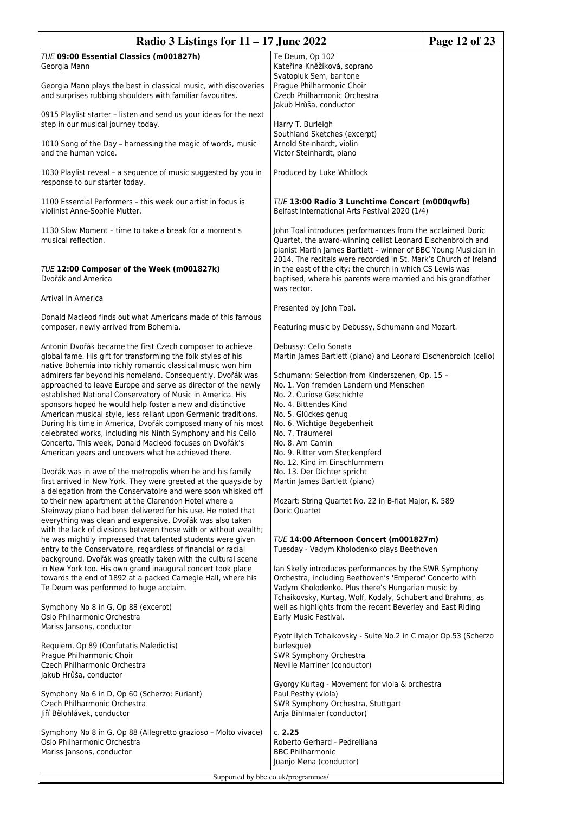| Radio 3 Listings for $11 - 17$ June 2022<br>Page 12 of 23                                                                                                                                    |                                                                                                                                                                                                                                                                   |  |
|----------------------------------------------------------------------------------------------------------------------------------------------------------------------------------------------|-------------------------------------------------------------------------------------------------------------------------------------------------------------------------------------------------------------------------------------------------------------------|--|
| TUE 09:00 Essential Classics (m001827h)<br>Georgia Mann<br>Georgia Mann plays the best in classical music, with discoveries                                                                  | Te Deum, Op 102<br>Kateřina Kněžíková, soprano<br>Svatopluk Sem, baritone<br>Prague Philharmonic Choir                                                                                                                                                            |  |
| and surprises rubbing shoulders with familiar favourites.<br>0915 Playlist starter - listen and send us your ideas for the next                                                              | Czech Philharmonic Orchestra<br>Jakub Hrůša, conductor                                                                                                                                                                                                            |  |
| step in our musical journey today.<br>1010 Song of the Day - harnessing the magic of words, music                                                                                            | Harry T. Burleigh<br>Southland Sketches (excerpt)<br>Arnold Steinhardt, violin                                                                                                                                                                                    |  |
| and the human voice.                                                                                                                                                                         | Victor Steinhardt, piano                                                                                                                                                                                                                                          |  |
| 1030 Playlist reveal - a sequence of music suggested by you in<br>response to our starter today.                                                                                             | Produced by Luke Whitlock                                                                                                                                                                                                                                         |  |
| 1100 Essential Performers - this week our artist in focus is<br>violinist Anne-Sophie Mutter.                                                                                                | <b>TUE 13:00 Radio 3 Lunchtime Concert (m000qwfb)</b><br>Belfast International Arts Festival 2020 (1/4)                                                                                                                                                           |  |
| 1130 Slow Moment - time to take a break for a moment's<br>musical reflection.                                                                                                                | John Toal introduces performances from the acclaimed Doric<br>Quartet, the award-winning cellist Leonard Elschenbroich and<br>pianist Martin James Bartlett - winner of BBC Young Musician in<br>2014. The recitals were recorded in St. Mark's Church of Ireland |  |
| TUE 12:00 Composer of the Week (m001827k)<br>Dvořák and America                                                                                                                              | in the east of the city: the church in which CS Lewis was<br>baptised, where his parents were married and his grandfather<br>was rector.                                                                                                                          |  |
| Arrival in America                                                                                                                                                                           | Presented by John Toal.                                                                                                                                                                                                                                           |  |
| Donald Macleod finds out what Americans made of this famous<br>composer, newly arrived from Bohemia.                                                                                         | Featuring music by Debussy, Schumann and Mozart.                                                                                                                                                                                                                  |  |
| Antonín Dvořák became the first Czech composer to achieve<br>global fame. His gift for transforming the folk styles of his<br>native Bohemia into richly romantic classical music won him    | Debussy: Cello Sonata<br>Martin James Bartlett (piano) and Leonard Elschenbroich (cello)                                                                                                                                                                          |  |
| admirers far beyond his homeland. Consequently, Dvořák was                                                                                                                                   | Schumann: Selection from Kinderszenen, Op. 15 -                                                                                                                                                                                                                   |  |
| approached to leave Europe and serve as director of the newly<br>established National Conservatory of Music in America. His                                                                  | No. 1. Von fremden Landern und Menschen<br>No. 2. Curiose Geschichte                                                                                                                                                                                              |  |
| sponsors hoped he would help foster a new and distinctive                                                                                                                                    | No. 4. Bittendes Kind                                                                                                                                                                                                                                             |  |
| American musical style, less reliant upon Germanic traditions.                                                                                                                               | No. 5. Glückes genug                                                                                                                                                                                                                                              |  |
| During his time in America, Dvořák composed many of his most<br>celebrated works, including his Ninth Symphony and his Cello                                                                 | No. 6. Wichtige Begebenheit<br>No. 7. Träumerei                                                                                                                                                                                                                   |  |
| Concerto. This week, Donald Macleod focuses on Dvořák's                                                                                                                                      | No. 8. Am Camin                                                                                                                                                                                                                                                   |  |
| American years and uncovers what he achieved there.                                                                                                                                          | No. 9. Ritter vom Steckenpferd<br>No. 12. Kind im Einschlummern                                                                                                                                                                                                   |  |
| Dvořák was in awe of the metropolis when he and his family                                                                                                                                   | No. 13. Der Dichter spricht                                                                                                                                                                                                                                       |  |
| first arrived in New York. They were greeted at the quayside by<br>a delegation from the Conservatoire and were soon whisked off                                                             | Martin James Bartlett (piano)                                                                                                                                                                                                                                     |  |
| to their new apartment at the Clarendon Hotel where a                                                                                                                                        | Mozart: String Quartet No. 22 in B-flat Major, K. 589                                                                                                                                                                                                             |  |
| Steinway piano had been delivered for his use. He noted that<br>everything was clean and expensive. Dvořák was also taken                                                                    | Doric Quartet                                                                                                                                                                                                                                                     |  |
| with the lack of divisions between those with or without wealth;                                                                                                                             |                                                                                                                                                                                                                                                                   |  |
| he was mightily impressed that talented students were given<br>entry to the Conservatoire, regardless of financial or racial<br>background. Dvořák was greatly taken with the cultural scene | TUE 14:00 Afternoon Concert (m001827m)<br>Tuesday - Vadym Kholodenko plays Beethoven                                                                                                                                                                              |  |
| in New York too. His own grand inaugural concert took place                                                                                                                                  | Ian Skelly introduces performances by the SWR Symphony                                                                                                                                                                                                            |  |
| towards the end of 1892 at a packed Carnegie Hall, where his<br>Te Deum was performed to huge acclaim.                                                                                       | Orchestra, including Beethoven's 'Emperor' Concerto with<br>Vadym Kholodenko. Plus there's Hungarian music by                                                                                                                                                     |  |
| Symphony No 8 in G, Op 88 (excerpt)                                                                                                                                                          | Tchaikovsky, Kurtag, Wolf, Kodaly, Schubert and Brahms, as<br>well as highlights from the recent Beverley and East Riding                                                                                                                                         |  |
| Oslo Philharmonic Orchestra                                                                                                                                                                  | Early Music Festival.                                                                                                                                                                                                                                             |  |
| Mariss Jansons, conductor                                                                                                                                                                    | Pyotr Ilyich Tchaikovsky - Suite No.2 in C major Op.53 (Scherzo                                                                                                                                                                                                   |  |
| Requiem, Op 89 (Confutatis Maledictis)                                                                                                                                                       | burlesque)                                                                                                                                                                                                                                                        |  |
| Prague Philharmonic Choir<br>Czech Philharmonic Orchestra                                                                                                                                    | SWR Symphony Orchestra<br>Neville Marriner (conductor)                                                                                                                                                                                                            |  |
| Jakub Hrůša, conductor                                                                                                                                                                       |                                                                                                                                                                                                                                                                   |  |
| Symphony No 6 in D, Op 60 (Scherzo: Furiant)                                                                                                                                                 | Gyorgy Kurtag - Movement for viola & orchestra<br>Paul Pesthy (viola)                                                                                                                                                                                             |  |
| Czech Philharmonic Orchestra<br>Jiří Bělohlávek, conductor                                                                                                                                   | SWR Symphony Orchestra, Stuttgart<br>Anja Bihlmaier (conductor)                                                                                                                                                                                                   |  |
| Symphony No 8 in G, Op 88 (Allegretto grazioso - Molto vivace)                                                                                                                               | c. 2.25                                                                                                                                                                                                                                                           |  |
| Oslo Philharmonic Orchestra                                                                                                                                                                  | Roberto Gerhard - Pedrelliana                                                                                                                                                                                                                                     |  |
| Mariss Jansons, conductor                                                                                                                                                                    | <b>BBC Philharmonic</b><br>Juanjo Mena (conductor)                                                                                                                                                                                                                |  |
| Supported by bbc.co.uk/programmes/                                                                                                                                                           |                                                                                                                                                                                                                                                                   |  |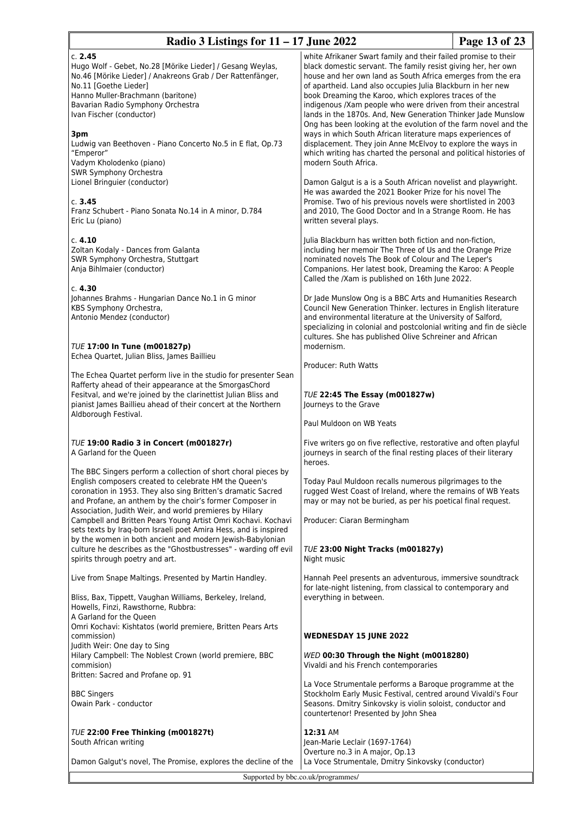| Page 13 of 23<br>Radio 3 Listings for $11 - 17$ June 2022                                                                                                                                                                                                                                                      |                                                                                                                                                                                                                                                                                                                                                                                                                                                                                                                          |  |
|----------------------------------------------------------------------------------------------------------------------------------------------------------------------------------------------------------------------------------------------------------------------------------------------------------------|--------------------------------------------------------------------------------------------------------------------------------------------------------------------------------------------------------------------------------------------------------------------------------------------------------------------------------------------------------------------------------------------------------------------------------------------------------------------------------------------------------------------------|--|
| c. 2.45<br>Hugo Wolf - Gebet, No.28 [Mörike Lieder] / Gesang Weylas,<br>No.46 [Mörike Lieder] / Anakreons Grab / Der Rattenfänger,<br>No.11 [Goethe Lieder]<br>Hanno Muller-Brachmann (baritone)<br>Bavarian Radio Symphony Orchestra<br>Ivan Fischer (conductor)                                              | white Afrikaner Swart family and their failed promise to their<br>black domestic servant. The family resist giving her, her own<br>house and her own land as South Africa emerges from the era<br>of apartheid. Land also occupies Julia Blackburn in her new<br>book Dreaming the Karoo, which explores traces of the<br>indigenous /Xam people who were driven from their ancestral<br>lands in the 1870s. And, New Generation Thinker Jade Munslow<br>Ong has been looking at the evolution of the farm novel and the |  |
| 3pm<br>Ludwig van Beethoven - Piano Concerto No.5 in E flat, Op.73<br>"Emperor"<br>Vadym Kholodenko (piano)<br>SWR Symphony Orchestra                                                                                                                                                                          | ways in which South African literature maps experiences of<br>displacement. They join Anne McElvoy to explore the ways in<br>which writing has charted the personal and political histories of<br>modern South Africa.                                                                                                                                                                                                                                                                                                   |  |
| Lionel Bringuier (conductor)<br>c. 3.45<br>Franz Schubert - Piano Sonata No.14 in A minor, D.784<br>Eric Lu (piano)                                                                                                                                                                                            | Damon Galgut is a is a South African novelist and playwright.<br>He was awarded the 2021 Booker Prize for his novel The<br>Promise. Two of his previous novels were shortlisted in 2003<br>and 2010, The Good Doctor and In a Strange Room. He has<br>written several plays.                                                                                                                                                                                                                                             |  |
| c. 4.10<br>Zoltan Kodaly - Dances from Galanta<br>SWR Symphony Orchestra, Stuttgart<br>Anja Bihlmaier (conductor)                                                                                                                                                                                              | Julia Blackburn has written both fiction and non-fiction,<br>including her memoir The Three of Us and the Orange Prize<br>nominated novels The Book of Colour and The Leper's<br>Companions. Her latest book, Dreaming the Karoo: A People<br>Called the /Xam is published on 16th June 2022.                                                                                                                                                                                                                            |  |
| c. 4.30<br>Johannes Brahms - Hungarian Dance No.1 in G minor<br>KBS Symphony Orchestra,<br>Antonio Mendez (conductor)<br>TUE 17:00 In Tune (m001827p)                                                                                                                                                          | Dr Jade Munslow Ong is a BBC Arts and Humanities Research<br>Council New Generation Thinker. lectures in English literature<br>and environmental literature at the University of Salford,<br>specializing in colonial and postcolonial writing and fin de siècle<br>cultures. She has published Olive Schreiner and African<br>modernism.                                                                                                                                                                                |  |
| Echea Quartet, Julian Bliss, James Baillieu                                                                                                                                                                                                                                                                    | Producer: Ruth Watts                                                                                                                                                                                                                                                                                                                                                                                                                                                                                                     |  |
| The Echea Quartet perform live in the studio for presenter Sean<br>Rafferty ahead of their appearance at the SmorgasChord<br>Fesitval, and we're joined by the clarinettist Julian Bliss and<br>pianist James Baillieu ahead of their concert at the Northern<br>Aldborough Festival.                          | <b>TUE 22:45 The Essay (m001827w)</b><br>Journeys to the Grave                                                                                                                                                                                                                                                                                                                                                                                                                                                           |  |
|                                                                                                                                                                                                                                                                                                                | Paul Muldoon on WB Yeats                                                                                                                                                                                                                                                                                                                                                                                                                                                                                                 |  |
| TUE 19:00 Radio 3 in Concert (m001827r)<br>A Garland for the Queen                                                                                                                                                                                                                                             | Five writers go on five reflective, restorative and often playful<br>journeys in search of the final resting places of their literary<br>heroes.                                                                                                                                                                                                                                                                                                                                                                         |  |
| The BBC Singers perform a collection of short choral pieces by<br>English composers created to celebrate HM the Queen's<br>coronation in 1953. They also sing Britten's dramatic Sacred<br>and Profane, an anthem by the choir's former Composer in<br>Association, Judith Weir, and world premieres by Hilary | Today Paul Muldoon recalls numerous pilgrimages to the<br>rugged West Coast of Ireland, where the remains of WB Yeats<br>may or may not be buried, as per his poetical final request.                                                                                                                                                                                                                                                                                                                                    |  |
| Campbell and Britten Pears Young Artist Omri Kochavi. Kochavi<br>sets texts by Iraq-born Israeli poet Amira Hess, and is inspired<br>by the women in both ancient and modern Jewish-Babylonian                                                                                                                 | Producer: Ciaran Bermingham                                                                                                                                                                                                                                                                                                                                                                                                                                                                                              |  |
| culture he describes as the "Ghostbustresses" - warding off evil<br>spirits through poetry and art.                                                                                                                                                                                                            | TUE 23:00 Night Tracks (m001827y)<br>Night music                                                                                                                                                                                                                                                                                                                                                                                                                                                                         |  |
| Live from Snape Maltings. Presented by Martin Handley.                                                                                                                                                                                                                                                         | Hannah Peel presents an adventurous, immersive soundtrack<br>for late-night listening, from classical to contemporary and                                                                                                                                                                                                                                                                                                                                                                                                |  |
| Bliss, Bax, Tippett, Vaughan Williams, Berkeley, Ireland,<br>Howells, Finzi, Rawsthorne, Rubbra:                                                                                                                                                                                                               | everything in between.                                                                                                                                                                                                                                                                                                                                                                                                                                                                                                   |  |
| A Garland for the Queen<br>Omri Kochavi: Kishtatos (world premiere, Britten Pears Arts<br>commission)                                                                                                                                                                                                          | <b>WEDNESDAY 15 JUNE 2022</b>                                                                                                                                                                                                                                                                                                                                                                                                                                                                                            |  |
| Judith Weir: One day to Sing<br>Hilary Campbell: The Noblest Crown (world premiere, BBC<br>commision)<br>Britten: Sacred and Profane op. 91                                                                                                                                                                    | WED 00:30 Through the Night (m0018280)<br>Vivaldi and his French contemporaries                                                                                                                                                                                                                                                                                                                                                                                                                                          |  |
| <b>BBC Singers</b><br>Owain Park - conductor                                                                                                                                                                                                                                                                   | La Voce Strumentale performs a Baroque programme at the<br>Stockholm Early Music Festival, centred around Vivaldi's Four<br>Seasons. Dmitry Sinkovsky is violin soloist, conductor and<br>countertenor! Presented by John Shea                                                                                                                                                                                                                                                                                           |  |
| TUE 22:00 Free Thinking (m001827t)<br>South African writing                                                                                                                                                                                                                                                    | 12:31 AM<br>Jean-Marie Leclair (1697-1764)                                                                                                                                                                                                                                                                                                                                                                                                                                                                               |  |
| Damon Galgut's novel, The Promise, explores the decline of the                                                                                                                                                                                                                                                 | Overture no.3 in A major, Op.13<br>La Voce Strumentale, Dmitry Sinkovsky (conductor)                                                                                                                                                                                                                                                                                                                                                                                                                                     |  |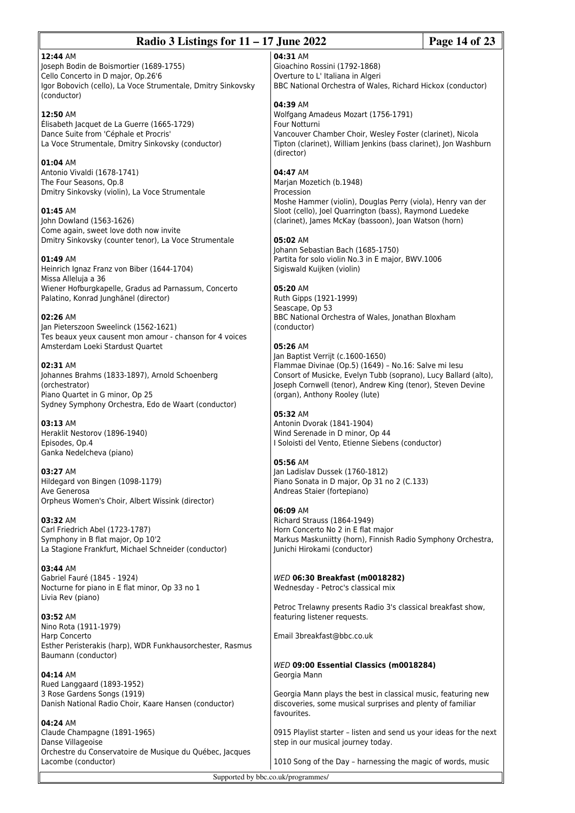| Radio 3 Listings for $11 - 17$ June 2022<br>Page 14 of 23                                                                                                                |                                                                                                                                                                                                                 |  |
|--------------------------------------------------------------------------------------------------------------------------------------------------------------------------|-----------------------------------------------------------------------------------------------------------------------------------------------------------------------------------------------------------------|--|
| 12:44 AM<br>Joseph Bodin de Boismortier (1689-1755)<br>Cello Concerto in D major, Op.26'6<br>Igor Bobovich (cello), La Voce Strumentale, Dmitry Sinkovsky<br>(conductor) | 04:31 AM<br>Gioachino Rossini (1792-1868)<br>Overture to L' Italiana in Algeri<br>BBC National Orchestra of Wales, Richard Hickox (conductor)                                                                   |  |
| 12:50 AM<br>Élisabeth Jacquet de La Guerre (1665-1729)<br>Dance Suite from 'Céphale et Procris'<br>La Voce Strumentale, Dmitry Sinkovsky (conductor)                     | 04:39 AM<br>Wolfgang Amadeus Mozart (1756-1791)<br>Four Notturni<br>Vancouver Chamber Choir, Wesley Foster (clarinet), Nicola<br>Tipton (clarinet), William Jenkins (bass clarinet), Jon Washburn<br>(director) |  |
| 01:04 AM<br>Antonio Vivaldi (1678-1741)<br>The Four Seasons, Op.8<br>Dmitry Sinkovsky (violin), La Voce Strumentale                                                      | 04:47 AM<br>Marjan Mozetich (b.1948)<br>Procession<br>Moshe Hammer (violin), Douglas Perry (viola), Henry van der                                                                                               |  |
| 01:45 AM<br>John Dowland (1563-1626)<br>Come again, sweet love doth now invite<br>Dmitry Sinkovsky (counter tenor), La Voce Strumentale                                  | Sloot (cello), Joel Quarrington (bass), Raymond Luedeke<br>(clarinet), James McKay (bassoon), Joan Watson (horn)<br>05:02 AM<br>Johann Sebastian Bach (1685-1750)                                               |  |
| 01:49 AM<br>Heinrich Ignaz Franz von Biber (1644-1704)<br>Missa Alleluja a 36<br>Wiener Hofburgkapelle, Gradus ad Parnassum, Concerto                                    | Partita for solo violin No.3 in E major, BWV.1006<br>Sigiswald Kuijken (violin)<br>05:20 AM                                                                                                                     |  |
| Palatino, Konrad Junghänel (director)<br>02:26 AM<br>Jan Pieterszoon Sweelinck (1562-1621)                                                                               | Ruth Gipps (1921-1999)<br>Seascape, Op 53<br>BBC National Orchestra of Wales, Jonathan Bloxham<br>(conductor)                                                                                                   |  |
| Tes beaux yeux causent mon amour - chanson for 4 voices<br>Amsterdam Loeki Stardust Quartet<br>02:31 AM<br>Johannes Brahms (1833-1897), Arnold Schoenberg                | 05:26 AM<br>Jan Baptist Verrijt (c.1600-1650)<br>Flammae Divinae (Op.5) (1649) - No.16: Salve mi lesu<br>Consort of Musicke, Evelyn Tubb (soprano), Lucy Ballard (alto),                                        |  |
| (orchestrator)<br>Piano Quartet in G minor, Op 25<br>Sydney Symphony Orchestra, Edo de Waart (conductor)                                                                 | Joseph Cornwell (tenor), Andrew King (tenor), Steven Devine<br>(organ), Anthony Rooley (lute)<br>05:32 AM                                                                                                       |  |
| 03:13 AM<br>Heraklit Nestorov (1896-1940)<br>Episodes, Op.4<br>Ganka Nedelcheva (piano)                                                                                  | Antonin Dvorak (1841-1904)<br>Wind Serenade in D minor, Op 44<br>I Soloisti del Vento, Etienne Siebens (conductor)<br>05:56 AM                                                                                  |  |
| 03:27 AM<br>Hildegard von Bingen (1098-1179)<br>Ave Generosa<br>Orpheus Women's Choir, Albert Wissink (director)                                                         | Jan Ladislav Dussek (1760-1812)<br>Piano Sonata in D major, Op 31 no 2 (C.133)<br>Andreas Staier (fortepiano)                                                                                                   |  |
| 03:32 AM<br>Carl Friedrich Abel (1723-1787)<br>Symphony in B flat major, Op 10'2<br>La Stagione Frankfurt, Michael Schneider (conductor)                                 | 06:09 AM<br>Richard Strauss (1864-1949)<br>Horn Concerto No 2 in E flat major<br>Markus Maskuniitty (horn), Finnish Radio Symphony Orchestra,<br>Junichi Hirokami (conductor)                                   |  |
| 03:44 AM<br>Gabriel Fauré (1845 - 1924)<br>Nocturne for piano in E flat minor, Op 33 no 1<br>Livia Rev (piano)                                                           | WED 06:30 Breakfast (m0018282)<br>Wednesday - Petroc's classical mix                                                                                                                                            |  |
| 03:52 AM<br>Nino Rota (1911-1979)                                                                                                                                        | Petroc Trelawny presents Radio 3's classical breakfast show,<br>featuring listener requests.                                                                                                                    |  |
| Harp Concerto<br>Esther Peristerakis (harp), WDR Funkhausorchester, Rasmus<br>Baumann (conductor)                                                                        | Email 3breakfast@bbc.co.uk<br>WED 09:00 Essential Classics (m0018284)                                                                                                                                           |  |
| 04:14 AM<br>Rued Langgaard (1893-1952)<br>3 Rose Gardens Songs (1919)<br>Danish National Radio Choir, Kaare Hansen (conductor)                                           | Georgia Mann<br>Georgia Mann plays the best in classical music, featuring new<br>discoveries, some musical surprises and plenty of familiar                                                                     |  |
| 04:24 AM<br>Claude Champagne (1891-1965)                                                                                                                                 | favourites.<br>0915 Playlist starter - listen and send us your ideas for the next                                                                                                                               |  |
| Danse Villageoise<br>Orchestre du Conservatoire de Musique du Québec, Jacques<br>Lacombe (conductor)                                                                     | step in our musical journey today.<br>1010 Song of the Day - harnessing the magic of words, music                                                                                                               |  |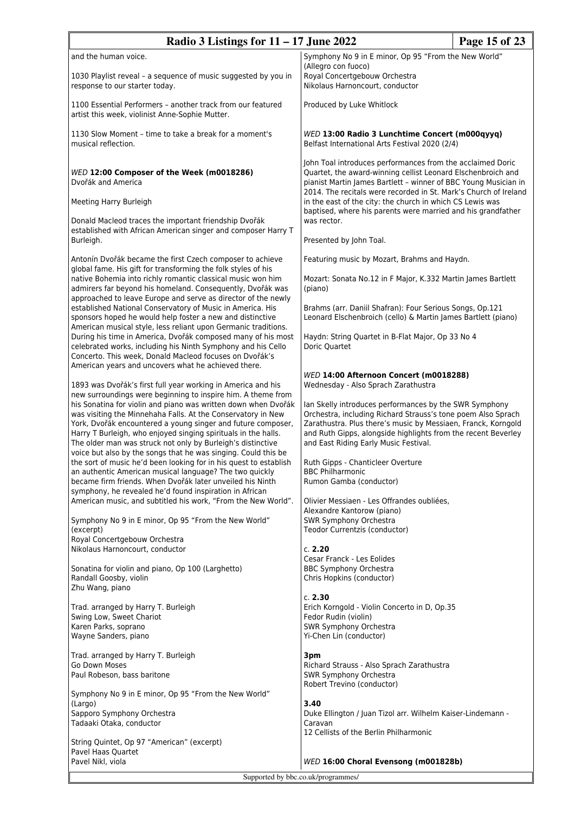| Radio 3 Listings for $11 - 17$ June 2022                                                                                                                                                                                                                                                                                                                                                                                                                                                                                                                                                                                                                                                                                                                                                                                                                   |                                                                                                                                                                                                                                                                                                                                                                                                                                                                                                                             | Page 15 of 23 |
|------------------------------------------------------------------------------------------------------------------------------------------------------------------------------------------------------------------------------------------------------------------------------------------------------------------------------------------------------------------------------------------------------------------------------------------------------------------------------------------------------------------------------------------------------------------------------------------------------------------------------------------------------------------------------------------------------------------------------------------------------------------------------------------------------------------------------------------------------------|-----------------------------------------------------------------------------------------------------------------------------------------------------------------------------------------------------------------------------------------------------------------------------------------------------------------------------------------------------------------------------------------------------------------------------------------------------------------------------------------------------------------------------|---------------|
| and the human voice.                                                                                                                                                                                                                                                                                                                                                                                                                                                                                                                                                                                                                                                                                                                                                                                                                                       | Symphony No 9 in E minor, Op 95 "From the New World"                                                                                                                                                                                                                                                                                                                                                                                                                                                                        |               |
| 1030 Playlist reveal - a sequence of music suggested by you in<br>response to our starter today.                                                                                                                                                                                                                                                                                                                                                                                                                                                                                                                                                                                                                                                                                                                                                           | (Allegro con fuoco)<br>Royal Concertgebouw Orchestra<br>Nikolaus Harnoncourt, conductor                                                                                                                                                                                                                                                                                                                                                                                                                                     |               |
| 1100 Essential Performers - another track from our featured<br>artist this week, violinist Anne-Sophie Mutter.                                                                                                                                                                                                                                                                                                                                                                                                                                                                                                                                                                                                                                                                                                                                             | Produced by Luke Whitlock                                                                                                                                                                                                                                                                                                                                                                                                                                                                                                   |               |
| 1130 Slow Moment - time to take a break for a moment's<br>musical reflection.                                                                                                                                                                                                                                                                                                                                                                                                                                                                                                                                                                                                                                                                                                                                                                              | WED 13:00 Radio 3 Lunchtime Concert (m000qyyq)<br>Belfast International Arts Festival 2020 (2/4)                                                                                                                                                                                                                                                                                                                                                                                                                            |               |
| WED 12:00 Composer of the Week (m0018286)<br>Dvořák and America<br>Meeting Harry Burleigh<br>Donald Macleod traces the important friendship Dvořák<br>established with African American singer and composer Harry T                                                                                                                                                                                                                                                                                                                                                                                                                                                                                                                                                                                                                                        | John Toal introduces performances from the acclaimed Doric<br>Quartet, the award-winning cellist Leonard Elschenbroich and<br>pianist Martin James Bartlett - winner of BBC Young Musician in<br>2014. The recitals were recorded in St. Mark's Church of Ireland<br>in the east of the city: the church in which CS Lewis was<br>baptised, where his parents were married and his grandfather<br>was rector.                                                                                                               |               |
| Burleigh.                                                                                                                                                                                                                                                                                                                                                                                                                                                                                                                                                                                                                                                                                                                                                                                                                                                  | Presented by John Toal.                                                                                                                                                                                                                                                                                                                                                                                                                                                                                                     |               |
| Antonín Dvořák became the first Czech composer to achieve<br>global fame. His gift for transforming the folk styles of his<br>native Bohemia into richly romantic classical music won him<br>admirers far beyond his homeland. Consequently, Dvořák was                                                                                                                                                                                                                                                                                                                                                                                                                                                                                                                                                                                                    | Featuring music by Mozart, Brahms and Haydn.<br>Mozart: Sonata No.12 in F Major, K.332 Martin James Bartlett<br>(piano)                                                                                                                                                                                                                                                                                                                                                                                                     |               |
| approached to leave Europe and serve as director of the newly<br>established National Conservatory of Music in America. His<br>sponsors hoped he would help foster a new and distinctive<br>American musical style, less reliant upon Germanic traditions.                                                                                                                                                                                                                                                                                                                                                                                                                                                                                                                                                                                                 | Brahms (arr. Daniil Shafran): Four Serious Songs, Op.121<br>Leonard Elschenbroich (cello) & Martin James Bartlett (piano)                                                                                                                                                                                                                                                                                                                                                                                                   |               |
| During his time in America, Dvořák composed many of his most<br>celebrated works, including his Ninth Symphony and his Cello<br>Concerto. This week, Donald Macleod focuses on Dvořák's<br>American years and uncovers what he achieved there.                                                                                                                                                                                                                                                                                                                                                                                                                                                                                                                                                                                                             | Haydn: String Quartet in B-Flat Major, Op 33 No 4<br>Doric Quartet                                                                                                                                                                                                                                                                                                                                                                                                                                                          |               |
| 1893 was Dvořák's first full year working in America and his<br>new surroundings were beginning to inspire him. A theme from<br>his Sonatina for violin and piano was written down when Dvořák<br>was visiting the Minnehaha Falls. At the Conservatory in New<br>York, Dvořák encountered a young singer and future composer,<br>Harry T Burleigh, who enjoyed singing spirituals in the halls.<br>The older man was struck not only by Burleigh's distinctive<br>voice but also by the songs that he was singing. Could this be<br>the sort of music he'd been looking for in his quest to establish<br>an authentic American musical language? The two quickly<br>became firm friends. When Dvořák later unveiled his Ninth<br>symphony, he revealed he'd found inspiration in African<br>American music, and subtitled his work, "From the New World". | WED 14:00 Afternoon Concert (m0018288)<br>Wednesday - Also Sprach Zarathustra<br>Ian Skelly introduces performances by the SWR Symphony<br>Orchestra, including Richard Strauss's tone poem Also Sprach<br>Zarathustra. Plus there's music by Messiaen, Franck, Korngold<br>and Ruth Gipps, alongside highlights from the recent Beverley<br>and East Riding Early Music Festival.<br>Ruth Gipps - Chanticleer Overture<br><b>BBC Philharmonic</b><br>Rumon Gamba (conductor)<br>Olivier Messiaen - Les Offrandes oubliées, |               |
| Symphony No 9 in E minor, Op 95 "From the New World"<br>(excerpt)<br>Royal Concertgebouw Orchestra                                                                                                                                                                                                                                                                                                                                                                                                                                                                                                                                                                                                                                                                                                                                                         | Alexandre Kantorow (piano)<br>SWR Symphony Orchestra<br>Teodor Currentzis (conductor)                                                                                                                                                                                                                                                                                                                                                                                                                                       |               |
| Nikolaus Harnoncourt, conductor<br>Sonatina for violin and piano, Op 100 (Larghetto)<br>Randall Goosby, violin<br>Zhu Wang, piano                                                                                                                                                                                                                                                                                                                                                                                                                                                                                                                                                                                                                                                                                                                          | c. 2.20<br>Cesar Franck - Les Eolides<br><b>BBC Symphony Orchestra</b><br>Chris Hopkins (conductor)                                                                                                                                                                                                                                                                                                                                                                                                                         |               |
| Trad. arranged by Harry T. Burleigh<br>Swing Low, Sweet Chariot<br>Karen Parks, soprano<br>Wayne Sanders, piano                                                                                                                                                                                                                                                                                                                                                                                                                                                                                                                                                                                                                                                                                                                                            | c. 2.30<br>Erich Korngold - Violin Concerto in D, Op.35<br>Fedor Rudin (violin)<br>SWR Symphony Orchestra<br>Yi-Chen Lin (conductor)                                                                                                                                                                                                                                                                                                                                                                                        |               |
| Trad. arranged by Harry T. Burleigh<br>Go Down Moses<br>Paul Robeson, bass baritone                                                                                                                                                                                                                                                                                                                                                                                                                                                                                                                                                                                                                                                                                                                                                                        | 3pm<br>Richard Strauss - Also Sprach Zarathustra<br>SWR Symphony Orchestra<br>Robert Trevino (conductor)                                                                                                                                                                                                                                                                                                                                                                                                                    |               |
| Symphony No 9 in E minor, Op 95 "From the New World"<br>(Largo)<br>Sapporo Symphony Orchestra<br>Tadaaki Otaka, conductor                                                                                                                                                                                                                                                                                                                                                                                                                                                                                                                                                                                                                                                                                                                                  | 3.40<br>Duke Ellington / Juan Tizol arr. Wilhelm Kaiser-Lindemann -<br>Caravan<br>12 Cellists of the Berlin Philharmonic                                                                                                                                                                                                                                                                                                                                                                                                    |               |
| String Quintet, Op 97 "American" (excerpt)<br>Pavel Haas Quartet<br>Pavel Nikl, viola                                                                                                                                                                                                                                                                                                                                                                                                                                                                                                                                                                                                                                                                                                                                                                      | WED 16:00 Choral Evensong (m001828b)                                                                                                                                                                                                                                                                                                                                                                                                                                                                                        |               |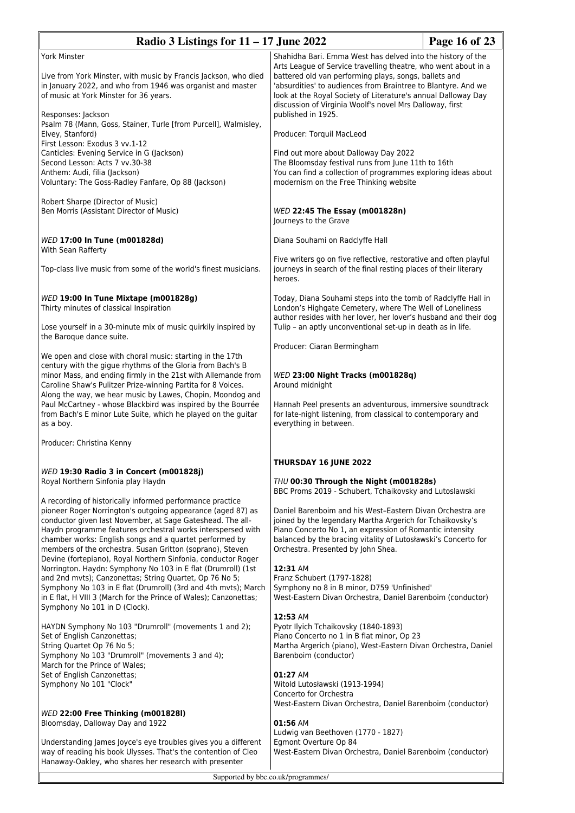| Radio 3 Listings for $11 - 17$ June 2022                                                                                                                                                                                                                                                                                                                                                                                                                                                                                                                                                                                                                                                                                                          |                                                                                                                                                                                                                                                                                                                                                                                                                                                                                                                         | Page 16 of 23 |
|---------------------------------------------------------------------------------------------------------------------------------------------------------------------------------------------------------------------------------------------------------------------------------------------------------------------------------------------------------------------------------------------------------------------------------------------------------------------------------------------------------------------------------------------------------------------------------------------------------------------------------------------------------------------------------------------------------------------------------------------------|-------------------------------------------------------------------------------------------------------------------------------------------------------------------------------------------------------------------------------------------------------------------------------------------------------------------------------------------------------------------------------------------------------------------------------------------------------------------------------------------------------------------------|---------------|
| <b>York Minster</b><br>Live from York Minster, with music by Francis Jackson, who died<br>in January 2022, and who from 1946 was organist and master<br>of music at York Minster for 36 years.<br>Responses: Jackson                                                                                                                                                                                                                                                                                                                                                                                                                                                                                                                              | Shahidha Bari. Emma West has delved into the history of the<br>Arts League of Service travelling theatre, who went about in a<br>battered old van performing plays, songs, ballets and<br>'absurdities' to audiences from Braintree to Blantyre. And we<br>look at the Royal Society of Literature's annual Dalloway Day<br>discussion of Virginia Woolf's novel Mrs Dalloway, first<br>published in 1925.                                                                                                              |               |
| Psalm 78 (Mann, Goss, Stainer, Turle [from Purcell], Walmisley,<br>Elvey, Stanford)                                                                                                                                                                                                                                                                                                                                                                                                                                                                                                                                                                                                                                                               | Producer: Torquil MacLeod                                                                                                                                                                                                                                                                                                                                                                                                                                                                                               |               |
| First Lesson: Exodus 3 vv.1-12<br>Canticles: Evening Service in G (Jackson)<br>Second Lesson: Acts 7 vv.30-38<br>Anthem: Audi, filia (Jackson)<br>Voluntary: The Goss-Radley Fanfare, Op 88 (Jackson)                                                                                                                                                                                                                                                                                                                                                                                                                                                                                                                                             | Find out more about Dalloway Day 2022<br>The Bloomsday festival runs from June 11th to 16th<br>You can find a collection of programmes exploring ideas about<br>modernism on the Free Thinking website                                                                                                                                                                                                                                                                                                                  |               |
| Robert Sharpe (Director of Music)<br>Ben Morris (Assistant Director of Music)                                                                                                                                                                                                                                                                                                                                                                                                                                                                                                                                                                                                                                                                     | WED 22:45 The Essay (m001828n)<br>Journeys to the Grave                                                                                                                                                                                                                                                                                                                                                                                                                                                                 |               |
| WED 17:00 In Tune (m001828d)<br>With Sean Rafferty                                                                                                                                                                                                                                                                                                                                                                                                                                                                                                                                                                                                                                                                                                | Diana Souhami on Radclyffe Hall                                                                                                                                                                                                                                                                                                                                                                                                                                                                                         |               |
| Top-class live music from some of the world's finest musicians.                                                                                                                                                                                                                                                                                                                                                                                                                                                                                                                                                                                                                                                                                   | Five writers go on five reflective, restorative and often playful<br>journeys in search of the final resting places of their literary<br>heroes.                                                                                                                                                                                                                                                                                                                                                                        |               |
| WED 19:00 In Tune Mixtape (m001828g)<br>Thirty minutes of classical Inspiration                                                                                                                                                                                                                                                                                                                                                                                                                                                                                                                                                                                                                                                                   | Today, Diana Souhami steps into the tomb of Radclyffe Hall in<br>London's Highgate Cemetery, where The Well of Loneliness<br>author resides with her lover, her lover's husband and their dog                                                                                                                                                                                                                                                                                                                           |               |
| Lose yourself in a 30-minute mix of music quirkily inspired by<br>the Baroque dance suite.                                                                                                                                                                                                                                                                                                                                                                                                                                                                                                                                                                                                                                                        | Tulip - an aptly unconventional set-up in death as in life.                                                                                                                                                                                                                                                                                                                                                                                                                                                             |               |
| We open and close with choral music: starting in the 17th<br>century with the gigue rhythms of the Gloria from Bach's B<br>minor Mass, and ending firmly in the 21st with Allemande from<br>Caroline Shaw's Pulitzer Prize-winning Partita for 8 Voices.<br>Along the way, we hear music by Lawes, Chopin, Moondog and<br>Paul McCartney - whose Blackbird was inspired by the Bourrée<br>from Bach's E minor Lute Suite, which he played on the guitar<br>as a boy.                                                                                                                                                                                                                                                                              | Producer: Ciaran Bermingham<br>WED 23:00 Night Tracks (m001828q)<br>Around midnight<br>Hannah Peel presents an adventurous, immersive soundtrack<br>for late-night listening, from classical to contemporary and<br>everything in between.                                                                                                                                                                                                                                                                              |               |
| Producer: Christina Kenny                                                                                                                                                                                                                                                                                                                                                                                                                                                                                                                                                                                                                                                                                                                         |                                                                                                                                                                                                                                                                                                                                                                                                                                                                                                                         |               |
| WED 19:30 Radio 3 in Concert (m001828j)<br>Royal Northern Sinfonia play Haydn                                                                                                                                                                                                                                                                                                                                                                                                                                                                                                                                                                                                                                                                     | THURSDAY 16 JUNE 2022<br>THU 00:30 Through the Night (m001828s)                                                                                                                                                                                                                                                                                                                                                                                                                                                         |               |
| A recording of historically informed performance practice<br>pioneer Roger Norrington's outgoing appearance (aged 87) as<br>conductor given last November, at Sage Gateshead. The all-<br>Haydn programme features orchestral works interspersed with<br>chamber works: English songs and a quartet performed by<br>members of the orchestra. Susan Gritton (soprano), Steven<br>Devine (fortepiano), Royal Northern Sinfonia, conductor Roger<br>Norrington. Haydn: Symphony No 103 in E flat (Drumroll) (1st<br>and 2nd mvts); Canzonettas; String Quartet, Op 76 No 5;<br>Symphony No 103 in E flat (Drumroll) (3rd and 4th mvts); March<br>in E flat, H VIII 3 (March for the Prince of Wales); Canzonettas;<br>Symphony No 101 in D (Clock). | BBC Proms 2019 - Schubert, Tchaikovsky and Lutoslawski<br>Daniel Barenboim and his West-Eastern Divan Orchestra are<br>joined by the legendary Martha Argerich for Tchaikovsky's<br>Piano Concerto No 1, an expression of Romantic intensity<br>balanced by the bracing vitality of Lutosławski's Concerto for<br>Orchestra. Presented by John Shea.<br>12:31 AM<br>Franz Schubert (1797-1828)<br>Symphony no 8 in B minor, D759 'Unfinished'<br>West-Eastern Divan Orchestra, Daniel Barenboim (conductor)<br>12:53 AM |               |
| HAYDN Symphony No 103 "Drumroll" (movements 1 and 2);<br>Set of English Canzonettas;<br>String Quartet Op 76 No 5;<br>Symphony No 103 "Drumroll" (movements 3 and 4);<br>March for the Prince of Wales;<br>Set of English Canzonettas;<br>Symphony No 101 "Clock"                                                                                                                                                                                                                                                                                                                                                                                                                                                                                 | Pyotr Ilyich Tchaikovsky (1840-1893)<br>Piano Concerto no 1 in B flat minor, Op 23<br>Martha Argerich (piano), West-Eastern Divan Orchestra, Daniel<br>Barenboim (conductor)<br>01:27 AM<br>Witold Lutosławski (1913-1994)<br>Concerto for Orchestra<br>West-Eastern Divan Orchestra, Daniel Barenboim (conductor)                                                                                                                                                                                                      |               |
| WED 22:00 Free Thinking (m001828l)<br>Bloomsday, Dalloway Day and 1922<br>Understanding James Joyce's eye troubles gives you a different<br>way of reading his book Ulysses. That's the contention of Cleo<br>Hanaway-Oakley, who shares her research with presenter                                                                                                                                                                                                                                                                                                                                                                                                                                                                              | 01:56 AM<br>Ludwig van Beethoven (1770 - 1827)<br>Egmont Overture Op 84<br>West-Eastern Divan Orchestra, Daniel Barenboim (conductor)                                                                                                                                                                                                                                                                                                                                                                                   |               |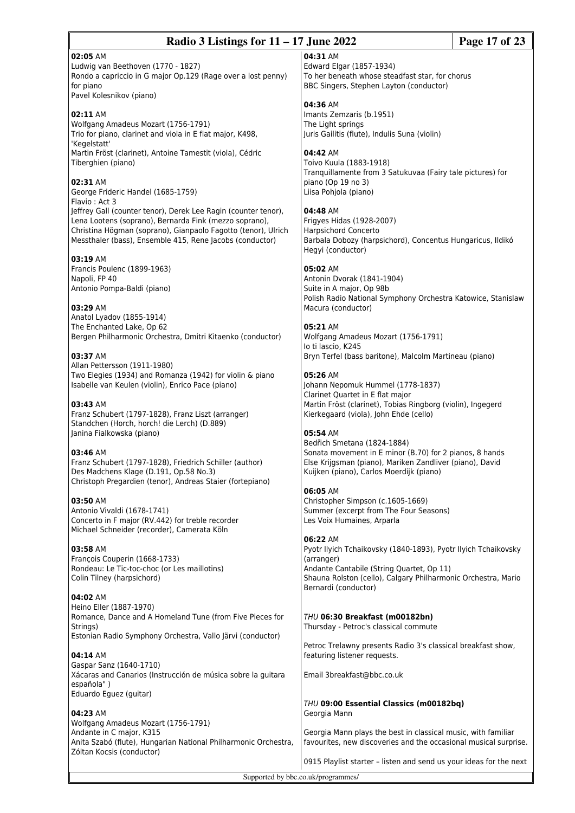## **Radio 3 Listings for 11 – 17 June 2022 Page 17 of 23**

### **02:05** AM

Ludwig van Beethoven (1770 - 1827) Rondo a capriccio in G major Op.129 (Rage over a lost penny) for piano Pavel Kolesnikov (piano)

### **02:11** AM

Wolfgang Amadeus Mozart (1756-1791) Trio for piano, clarinet and viola in E flat major, K498, 'Kegelstatt' Martin Fröst (clarinet), Antoine Tamestit (viola), Cédric Tiberghien (piano)

### **02:31** AM

George Frideric Handel (1685-1759) Flavio : Act 3 Jeffrey Gall (counter tenor), Derek Lee Ragin (counter tenor), Lena Lootens (soprano), Bernarda Fink (mezzo soprano), Christina Högman (soprano), Gianpaolo Fagotto (tenor), Ulrich Messthaler (bass), Ensemble 415, Rene Jacobs (conductor)

#### **03:19** AM

Francis Poulenc (1899-1963) Napoli, FP 40 Antonio Pompa-Baldi (piano)

#### **03:29** AM

Anatol Lyadov (1855-1914) The Enchanted Lake, Op 62 Bergen Philharmonic Orchestra, Dmitri Kitaenko (conductor)

#### **03:37** AM

Allan Pettersson (1911-1980) Two Elegies (1934) and Romanza (1942) for violin & piano Isabelle van Keulen (violin), Enrico Pace (piano)

### **03:43** AM

Franz Schubert (1797-1828), Franz Liszt (arranger) Standchen (Horch, horch! die Lerch) (D.889) Janina Fialkowska (piano)

#### **03:46** AM

Franz Schubert (1797-1828), Friedrich Schiller (author) Des Madchens Klage (D.191, Op.58 No.3) Christoph Pregardien (tenor), Andreas Staier (fortepiano)

## **03:50** AM

Antonio Vivaldi (1678-1741) Concerto in F major (RV.442) for treble recorder Michael Schneider (recorder), Camerata Köln

## **03:58** AM

François Couperin (1668-1733) Rondeau: Le Tic-toc-choc (or Les maillotins) Colin Tilney (harpsichord)

#### **04:02** AM

Heino Eller (1887-1970) Romance, Dance and A Homeland Tune (from Five Pieces for Strings) Estonian Radio Symphony Orchestra, Vallo Järvi (conductor)

## **04:14** AM

Gaspar Sanz (1640-1710) Xácaras and Canarios (Instrucción de música sobre la guitara española" ) Eduardo Eguez (guitar)

### **04:23** AM

Wolfgang Amadeus Mozart (1756-1791) Andante in C major, K315 Anita Szabó (flute), Hungarian National Philharmonic Orchestra, Zóltan Kocsis (conductor)

# **04:31** AM

Edward Elgar (1857-1934) To her beneath whose steadfast star, for chorus BBC Singers, Stephen Layton (conductor)

### **04:36** AM

Imants Zemzaris (b.1951) The Light springs Juris Gailitis (flute), Indulis Suna (violin)

#### **04:42** AM

Toivo Kuula (1883-1918) Tranquillamente from 3 Satukuvaa (Fairy tale pictures) for piano (Op 19 no 3) Liisa Pohjola (piano)

#### **04:48** AM

Frigyes Hidas (1928-2007) Harpsichord Concerto Barbala Dobozy (harpsichord), Concentus Hungaricus, Ildikó Hegyi (conductor)

## **05:02** AM

Antonin Dvorak (1841-1904) Suite in A major, Op 98b Polish Radio National Symphony Orchestra Katowice, Stanislaw Macura (conductor)

#### **05:21** AM

Wolfgang Amadeus Mozart (1756-1791) Io ti lascio, K245 Bryn Terfel (bass baritone), Malcolm Martineau (piano)

#### **05:26** AM

Johann Nepomuk Hummel (1778-1837) Clarinet Quartet in E flat major Martin Fröst (clarinet), Tobias Ringborg (violin), Ingegerd Kierkegaard (viola), John Ehde (cello)

#### **05:54** AM

Bedřich Smetana (1824-1884) Sonata movement in E minor (B.70) for 2 pianos, 8 hands Else Krijgsman (piano), Mariken Zandliver (piano), David Kuijken (piano), Carlos Moerdijk (piano)

### **06:05** AM

Christopher Simpson (c.1605-1669) Summer (excerpt from The Four Seasons) Les Voix Humaines, Arparla

#### **06:22** AM

Pyotr Ilyich Tchaikovsky (1840-1893), Pyotr Ilyich Tchaikovsky (arranger) Andante Cantabile (String Quartet, Op 11) Shauna Rolston (cello), Calgary Philharmonic Orchestra, Mario Bernardi (conductor)

#### *THU* **06:30 Breakfast (m00182bn)** Thursday - Petroc's classical commute

Petroc Trelawny presents Radio 3's classical breakfast show, featuring listener requests.

Email 3breakfast@bbc.co.uk

*THU* **09:00 Essential Classics (m00182bq)** Georgia Mann

Georgia Mann plays the best in classical music, with familiar favourites, new discoveries and the occasional musical surprise.

0915 Playlist starter – listen and send us your ideas for the next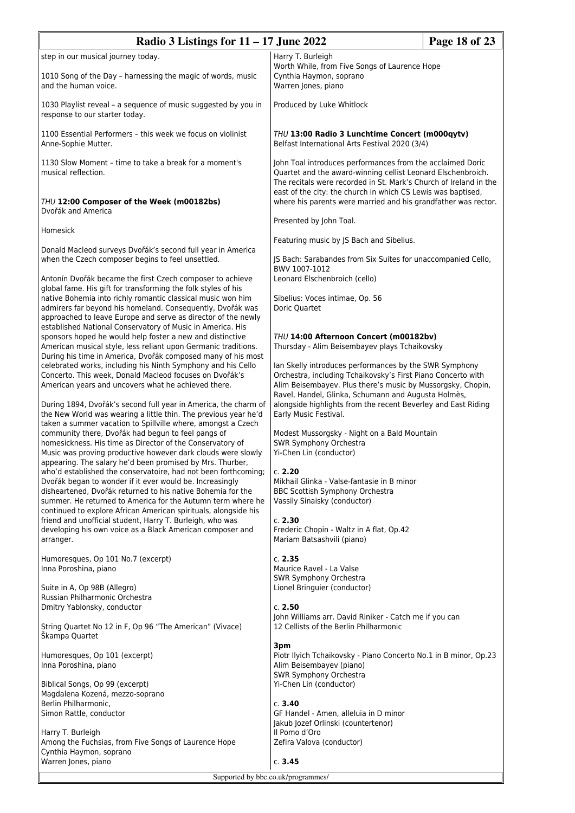| Radio 3 Listings for $11 - 17$ June 2022                                                                                                                                                                                                       |                                                                                                                                                                                                                                                                 | Page 18 of 23 |
|------------------------------------------------------------------------------------------------------------------------------------------------------------------------------------------------------------------------------------------------|-----------------------------------------------------------------------------------------------------------------------------------------------------------------------------------------------------------------------------------------------------------------|---------------|
| step in our musical journey today.                                                                                                                                                                                                             | Harry T. Burleigh                                                                                                                                                                                                                                               |               |
| 1010 Song of the Day - harnessing the magic of words, music<br>and the human voice.                                                                                                                                                            | Worth While, from Five Songs of Laurence Hope<br>Cynthia Haymon, soprano<br>Warren Jones, piano                                                                                                                                                                 |               |
| 1030 Playlist reveal - a sequence of music suggested by you in<br>response to our starter today.                                                                                                                                               | Produced by Luke Whitlock                                                                                                                                                                                                                                       |               |
| 1100 Essential Performers - this week we focus on violinist<br>Anne-Sophie Mutter.                                                                                                                                                             | THU 13:00 Radio 3 Lunchtime Concert (m000qytv)<br>Belfast International Arts Festival 2020 (3/4)                                                                                                                                                                |               |
| 1130 Slow Moment - time to take a break for a moment's<br>musical reflection.<br>THU 12:00 Composer of the Week (m00182bs)                                                                                                                     | John Toal introduces performances from the acclaimed Doric<br>Quartet and the award-winning cellist Leonard Elschenbroich.<br>The recitals were recorded in St. Mark's Church of Ireland in the<br>east of the city: the church in which CS Lewis was baptised, |               |
| Dvořák and America                                                                                                                                                                                                                             | where his parents were married and his grandfather was rector.                                                                                                                                                                                                  |               |
| Homesick                                                                                                                                                                                                                                       | Presented by John Toal.                                                                                                                                                                                                                                         |               |
|                                                                                                                                                                                                                                                | Featuring music by JS Bach and Sibelius.                                                                                                                                                                                                                        |               |
| Donald Macleod surveys Dvořák's second full year in America<br>when the Czech composer begins to feel unsettled.<br>Antonín Dvořák became the first Czech composer to achieve                                                                  | JS Bach: Sarabandes from Six Suites for unaccompanied Cello,<br>BWV 1007-1012<br>Leonard Elschenbroich (cello)                                                                                                                                                  |               |
| global fame. His gift for transforming the folk styles of his                                                                                                                                                                                  |                                                                                                                                                                                                                                                                 |               |
| native Bohemia into richly romantic classical music won him<br>admirers far beyond his homeland. Consequently, Dvořák was<br>approached to leave Europe and serve as director of the newly                                                     | Sibelius: Voces intimae, Op. 56<br>Doric Quartet                                                                                                                                                                                                                |               |
| established National Conservatory of Music in America. His<br>sponsors hoped he would help foster a new and distinctive                                                                                                                        | THU 14:00 Afternoon Concert (m00182bv)                                                                                                                                                                                                                          |               |
| American musical style, less reliant upon Germanic traditions.                                                                                                                                                                                 | Thursday - Alim Beisembayev plays Tchaikovsky                                                                                                                                                                                                                   |               |
| During his time in America, Dvořák composed many of his most<br>celebrated works, including his Ninth Symphony and his Cello<br>Concerto. This week, Donald Macleod focuses on Dvořák's<br>American years and uncovers what he achieved there. | Ian Skelly introduces performances by the SWR Symphony<br>Orchestra, including Tchaikovsky's First Piano Concerto with<br>Alim Beisembayev. Plus there's music by Mussorgsky, Chopin,<br>Ravel, Handel, Glinka, Schumann and Augusta Holmès,                    |               |
| During 1894, Dvořák's second full year in America, the charm of<br>the New World was wearing a little thin. The previous year he'd<br>taken a summer vacation to Spillville where, amongst a Czech                                             | alongside highlights from the recent Beverley and East Riding<br>Early Music Festival.                                                                                                                                                                          |               |
| community there, Dvořák had begun to feel pangs of<br>homesickness. His time as Director of the Conservatory of<br>Music was proving productive however dark clouds were slowly<br>appearing. The salary he'd been promised by Mrs. Thurber,   | Modest Mussorgsky - Night on a Bald Mountain<br>SWR Symphony Orchestra<br>Yi-Chen Lin (conductor)                                                                                                                                                               |               |
| who'd established the conservatoire, had not been forthcoming;<br>Dvořák began to wonder if it ever would be. Increasingly                                                                                                                     | c. 2.20<br>Mikhail Glinka - Valse-fantasie in B minor                                                                                                                                                                                                           |               |
| disheartened, Dvořák returned to his native Bohemia for the<br>summer. He returned to America for the Autumn term where he<br>continued to explore African American spirituals, alongside his                                                  | BBC Scottish Symphony Orchestra<br>Vassily Sinaisky (conductor)                                                                                                                                                                                                 |               |
| friend and unofficial student, Harry T. Burleigh, who was                                                                                                                                                                                      | c. 2.30                                                                                                                                                                                                                                                         |               |
| developing his own voice as a Black American composer and<br>arranger.                                                                                                                                                                         | Frederic Chopin - Waltz in A flat, Op.42<br>Mariam Batsashvili (piano)                                                                                                                                                                                          |               |
| Humoresques, Op 101 No.7 (excerpt)                                                                                                                                                                                                             | c. 2.35                                                                                                                                                                                                                                                         |               |
| Inna Poroshina, piano                                                                                                                                                                                                                          | Maurice Ravel - La Valse<br>SWR Symphony Orchestra                                                                                                                                                                                                              |               |
| Suite in A, Op 98B (Allegro)                                                                                                                                                                                                                   | Lionel Bringuier (conductor)                                                                                                                                                                                                                                    |               |
| Russian Philharmonic Orchestra<br>Dmitry Yablonsky, conductor                                                                                                                                                                                  | c. 2.50                                                                                                                                                                                                                                                         |               |
| String Quartet No 12 in F, Op 96 "The American" (Vivace)<br>Škampa Quartet                                                                                                                                                                     | John Williams arr. David Riniker - Catch me if you can<br>12 Cellists of the Berlin Philharmonic                                                                                                                                                                |               |
| Humoresques, Op 101 (excerpt)<br>Inna Poroshina, piano                                                                                                                                                                                         | 3pm<br>Piotr Ilyich Tchaikovsky - Piano Concerto No.1 in B minor, Op.23<br>Alim Beisembayev (piano)<br>SWR Symphony Orchestra                                                                                                                                   |               |
| Biblical Songs, Op 99 (excerpt)<br>Magdalena Kozená, mezzo-soprano                                                                                                                                                                             | Yi-Chen Lin (conductor)                                                                                                                                                                                                                                         |               |
| Berlin Philharmonic,                                                                                                                                                                                                                           | c. 3.40                                                                                                                                                                                                                                                         |               |
| Simon Rattle, conductor                                                                                                                                                                                                                        | GF Handel - Amen, alleluia in D minor<br>Jakub Jozef Orlinski (countertenor)                                                                                                                                                                                    |               |
| Harry T. Burleigh                                                                                                                                                                                                                              | Il Pomo d'Oro                                                                                                                                                                                                                                                   |               |
| Among the Fuchsias, from Five Songs of Laurence Hope<br>Cynthia Haymon, soprano                                                                                                                                                                | Zefira Valova (conductor)                                                                                                                                                                                                                                       |               |
| Warren Jones, piano                                                                                                                                                                                                                            | c. 3.45                                                                                                                                                                                                                                                         |               |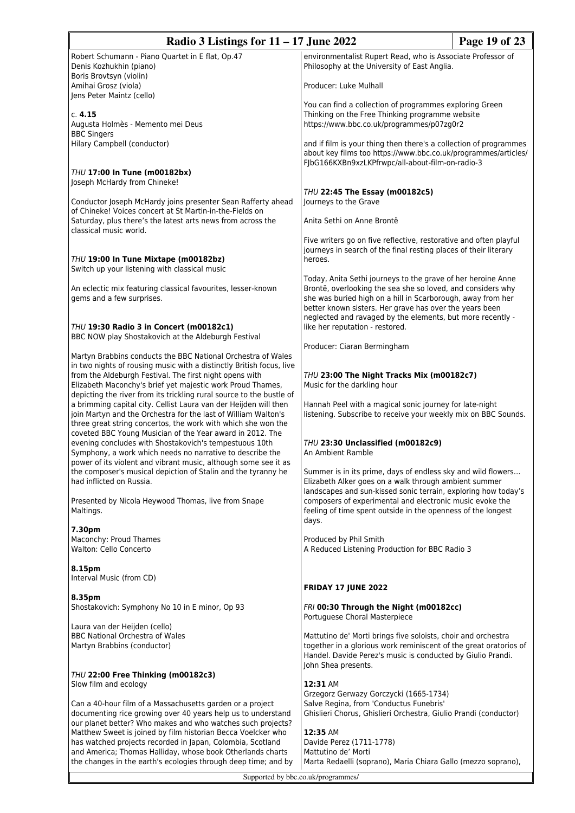| Radio 3 Listings for $11 - 17$ June 2022                                                                                                                                                                                                                         |                                                                                                                                                                                                                                                                                                                     | Page 19 of 23 |
|------------------------------------------------------------------------------------------------------------------------------------------------------------------------------------------------------------------------------------------------------------------|---------------------------------------------------------------------------------------------------------------------------------------------------------------------------------------------------------------------------------------------------------------------------------------------------------------------|---------------|
| Robert Schumann - Piano Quartet in E flat, Op.47<br>Denis Kozhukhin (piano)                                                                                                                                                                                      | environmentalist Rupert Read, who is Associate Professor of<br>Philosophy at the University of East Anglia.                                                                                                                                                                                                         |               |
| Boris Brovtsyn (violin)<br>Amihai Grosz (viola)<br>Jens Peter Maintz (cello)                                                                                                                                                                                     | Producer: Luke Mulhall                                                                                                                                                                                                                                                                                              |               |
| c. 4.15<br>Augusta Holmès - Memento mei Deus<br><b>BBC Singers</b>                                                                                                                                                                                               | You can find a collection of programmes exploring Green<br>Thinking on the Free Thinking programme website<br>https://www.bbc.co.uk/programmes/p07zg0r2                                                                                                                                                             |               |
| Hilary Campbell (conductor)                                                                                                                                                                                                                                      | and if film is your thing then there's a collection of programmes<br>about key films too https://www.bbc.co.uk/programmes/articles/<br>FJbG166KXBn9xzLKPfrwpc/all-about-film-on-radio-3                                                                                                                             |               |
| THU 17:00 In Tune (m00182bx)<br>Joseph McHardy from Chineke!                                                                                                                                                                                                     |                                                                                                                                                                                                                                                                                                                     |               |
| Conductor Joseph McHardy joins presenter Sean Rafferty ahead<br>of Chineke! Voices concert at St Martin-in-the-Fields on                                                                                                                                         | THU 22:45 The Essay (m00182c5)<br>Journeys to the Grave                                                                                                                                                                                                                                                             |               |
| Saturday, plus there's the latest arts news from across the<br>classical music world.                                                                                                                                                                            | Anita Sethi on Anne Brontë                                                                                                                                                                                                                                                                                          |               |
| THU 19:00 In Tune Mixtape (m00182bz)<br>Switch up your listening with classical music                                                                                                                                                                            | Five writers go on five reflective, restorative and often playful<br>journeys in search of the final resting places of their literary<br>heroes.                                                                                                                                                                    |               |
| An eclectic mix featuring classical favourites, lesser-known<br>gems and a few surprises.                                                                                                                                                                        | Today, Anita Sethi journeys to the grave of her heroine Anne<br>Brontë, overlooking the sea she so loved, and considers why<br>she was buried high on a hill in Scarborough, away from her<br>better known sisters. Her grave has over the years been<br>neglected and ravaged by the elements, but more recently - |               |
| THU 19:30 Radio 3 in Concert (m00182c1)<br>BBC NOW play Shostakovich at the Aldeburgh Festival                                                                                                                                                                   | like her reputation - restored.                                                                                                                                                                                                                                                                                     |               |
| Martyn Brabbins conducts the BBC National Orchestra of Wales<br>in two nights of rousing music with a distinctly British focus, live                                                                                                                             | Producer: Ciaran Bermingham                                                                                                                                                                                                                                                                                         |               |
| from the Aldeburgh Festival. The first night opens with<br>Elizabeth Maconchy's brief yet majestic work Proud Thames,<br>depicting the river from its trickling rural source to the bustle of                                                                    | THU 23:00 The Night Tracks Mix (m00182c7)<br>Music for the darkling hour                                                                                                                                                                                                                                            |               |
| a brimming capital city. Cellist Laura van der Heijden will then<br>join Martyn and the Orchestra for the last of William Walton's<br>three great string concertos, the work with which she won the<br>coveted BBC Young Musician of the Year award in 2012. The | Hannah Peel with a magical sonic journey for late-night<br>listening. Subscribe to receive your weekly mix on BBC Sounds.                                                                                                                                                                                           |               |
| evening concludes with Shostakovich's tempestuous 10th<br>Symphony, a work which needs no narrative to describe the<br>power of its violent and vibrant music, although some see it as                                                                           | THU 23:30 Unclassified (m00182c9)<br>An Ambient Ramble                                                                                                                                                                                                                                                              |               |
| the composer's musical depiction of Stalin and the tyranny he<br>had inflicted on Russia.                                                                                                                                                                        | Summer is in its prime, days of endless sky and wild flowers<br>Elizabeth Alker goes on a walk through ambient summer<br>landscapes and sun-kissed sonic terrain, exploring how today's                                                                                                                             |               |
| Presented by Nicola Heywood Thomas, live from Snape<br>Maltings.                                                                                                                                                                                                 | composers of experimental and electronic music evoke the<br>feeling of time spent outside in the openness of the longest<br>days.                                                                                                                                                                                   |               |
| 7.30pm<br>Maconchy: Proud Thames<br>Walton: Cello Concerto                                                                                                                                                                                                       | Produced by Phil Smith<br>A Reduced Listening Production for BBC Radio 3                                                                                                                                                                                                                                            |               |
| 8.15pm<br>Interval Music (from CD)                                                                                                                                                                                                                               | <b>FRIDAY 17 JUNE 2022</b>                                                                                                                                                                                                                                                                                          |               |
| 8.35pm<br>Shostakovich: Symphony No 10 in E minor, Op 93                                                                                                                                                                                                         | FRI 00:30 Through the Night (m00182cc)                                                                                                                                                                                                                                                                              |               |
| Laura van der Heijden (cello)<br><b>BBC National Orchestra of Wales</b>                                                                                                                                                                                          | Portuguese Choral Masterpiece<br>Mattutino de' Morti brings five soloists, choir and orchestra                                                                                                                                                                                                                      |               |
| Martyn Brabbins (conductor)                                                                                                                                                                                                                                      | together in a glorious work reminiscent of the great oratorios of<br>Handel. Davide Perez's music is conducted by Giulio Prandi.<br>John Shea presents.                                                                                                                                                             |               |
| THU 22:00 Free Thinking (m00182c3)<br>Slow film and ecology                                                                                                                                                                                                      | 12:31 AM                                                                                                                                                                                                                                                                                                            |               |
|                                                                                                                                                                                                                                                                  | Grzegorz Gerwazy Gorczycki (1665-1734)                                                                                                                                                                                                                                                                              |               |
| Can a 40-hour film of a Massachusetts garden or a project<br>documenting rice growing over 40 years help us to understand                                                                                                                                        | Salve Regina, from 'Conductus Funebris'<br>Ghislieri Chorus, Ghislieri Orchestra, Giulio Prandi (conductor)                                                                                                                                                                                                         |               |
| our planet better? Who makes and who watches such projects?<br>Matthew Sweet is joined by film historian Becca Voelcker who                                                                                                                                      | 12:35 AM                                                                                                                                                                                                                                                                                                            |               |
| has watched projects recorded in Japan, Colombia, Scotland<br>and America; Thomas Halliday, whose book Otherlands charts                                                                                                                                         | Davide Perez (1711-1778)<br>Mattutino de' Morti                                                                                                                                                                                                                                                                     |               |
| the changes in the earth's ecologies through deep time; and by                                                                                                                                                                                                   | Marta Redaelli (soprano), Maria Chiara Gallo (mezzo soprano),                                                                                                                                                                                                                                                       |               |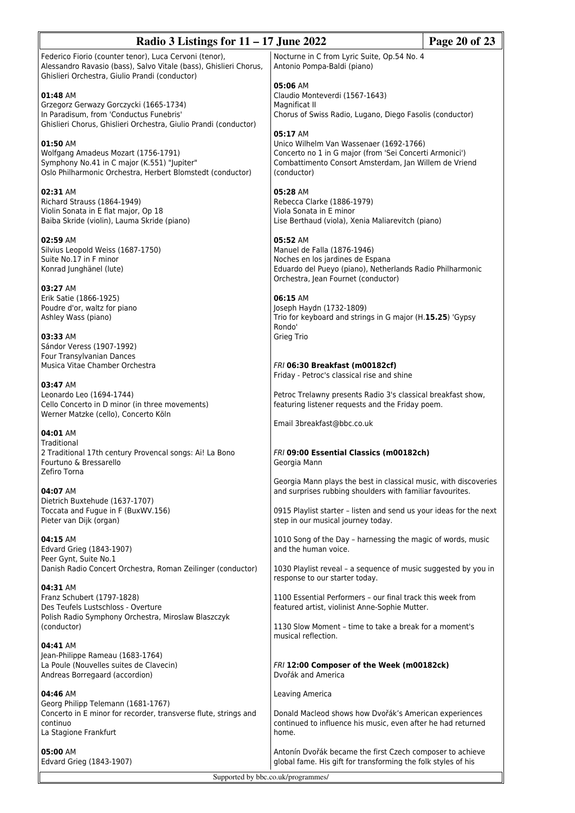| Page 20 of 23<br>Radio 3 Listings for $11 - 17$ June 2022                                                                                                                                                           |                                                                                                                                                                                        |  |  |
|---------------------------------------------------------------------------------------------------------------------------------------------------------------------------------------------------------------------|----------------------------------------------------------------------------------------------------------------------------------------------------------------------------------------|--|--|
| Federico Fiorio (counter tenor), Luca Cervoni (tenor),<br>Alessandro Ravasio (bass), Salvo Vitale (bass), Ghislieri Chorus,                                                                                         | Nocturne in C from Lyric Suite, Op.54 No. 4<br>Antonio Pompa-Baldi (piano)                                                                                                             |  |  |
| Ghislieri Orchestra, Giulio Prandi (conductor)<br>01:48 AM<br>Grzegorz Gerwazy Gorczycki (1665-1734)<br>In Paradisum, from 'Conductus Funebris'<br>Ghislieri Chorus, Ghislieri Orchestra, Giulio Prandi (conductor) | 05:06 AM<br>Claudio Monteverdi (1567-1643)<br>Magnificat II<br>Chorus of Swiss Radio, Lugano, Diego Fasolis (conductor)                                                                |  |  |
| 01:50 AM<br>Wolfgang Amadeus Mozart (1756-1791)<br>Symphony No.41 in C major (K.551) "Jupiter"<br>Oslo Philharmonic Orchestra, Herbert Blomstedt (conductor)                                                        | 05:17 AM<br>Unico Wilhelm Van Wassenaer (1692-1766)<br>Concerto no 1 in G major (from 'Sei Concerti Armonici')<br>Combattimento Consort Amsterdam, Jan Willem de Vriend<br>(conductor) |  |  |
| 02:31 AM<br>Richard Strauss (1864-1949)<br>Violin Sonata in E flat major, Op 18<br>Baiba Skride (violin), Lauma Skride (piano)                                                                                      | 05:28 AM<br>Rebecca Clarke (1886-1979)<br>Viola Sonata in E minor<br>Lise Berthaud (viola), Xenia Maliarevitch (piano)                                                                 |  |  |
| 02:59 AM<br>Silvius Leopold Weiss (1687-1750)<br>Suite No.17 in F minor<br>Konrad Junghänel (lute)                                                                                                                  | 05:52 AM<br>Manuel de Falla (1876-1946)<br>Noches en los jardines de Espana<br>Eduardo del Pueyo (piano), Netherlands Radio Philharmonic<br>Orchestra, Jean Fournet (conductor)        |  |  |
| 03:27 AM<br>Erik Satie (1866-1925)<br>Poudre d'or, waltz for piano<br>Ashley Wass (piano)                                                                                                                           | 06:15 AM<br>Joseph Haydn (1732-1809)<br>Trio for keyboard and strings in G major (H.15.25) 'Gypsy<br>Rondo'                                                                            |  |  |
| 03:33 AM<br>Sándor Veress (1907-1992)<br>Four Transylvanian Dances<br>Musica Vitae Chamber Orchestra                                                                                                                | Grieg Trio<br>FRI 06:30 Breakfast (m00182cf)<br>Friday - Petroc's classical rise and shine                                                                                             |  |  |
| 03:47 AM<br>Leonardo Leo (1694-1744)<br>Cello Concerto in D minor (in three movements)<br>Werner Matzke (cello), Concerto Köln                                                                                      | Petroc Trelawny presents Radio 3's classical breakfast show,<br>featuring listener requests and the Friday poem.                                                                       |  |  |
| 04:01 AM                                                                                                                                                                                                            | Email 3breakfast@bbc.co.uk                                                                                                                                                             |  |  |
| Traditional<br>2 Traditional 17th century Provencal songs: Ai! La Bono<br>Fourtuno & Bressarello<br>Zefiro Torna                                                                                                    | FRI 09:00 Essential Classics (m00182ch)<br>Georgia Mann                                                                                                                                |  |  |
| 04:07 AM                                                                                                                                                                                                            | Georgia Mann plays the best in classical music, with discoveries<br>and surprises rubbing shoulders with familiar favourites.                                                          |  |  |
| Dietrich Buxtehude (1637-1707)<br>Toccata and Fugue in F (BuxWV.156)<br>Pieter van Dijk (organ)                                                                                                                     | 0915 Playlist starter - listen and send us your ideas for the next<br>step in our musical journey today.                                                                               |  |  |
| 04:15 AM<br>Edvard Grieg (1843-1907)                                                                                                                                                                                | 1010 Song of the Day - harnessing the magic of words, music<br>and the human voice.                                                                                                    |  |  |
| Peer Gynt, Suite No.1<br>Danish Radio Concert Orchestra, Roman Zeilinger (conductor)                                                                                                                                | 1030 Playlist reveal - a sequence of music suggested by you in<br>response to our starter today.                                                                                       |  |  |
| 04:31 AM<br>Franz Schubert (1797-1828)<br>Des Teufels Lustschloss - Overture                                                                                                                                        | 1100 Essential Performers - our final track this week from<br>featured artist, violinist Anne-Sophie Mutter.                                                                           |  |  |
| Polish Radio Symphony Orchestra, Miroslaw Blaszczyk<br>(conductor)                                                                                                                                                  | 1130 Slow Moment - time to take a break for a moment's<br>musical reflection.                                                                                                          |  |  |
| 04:41 AM<br>Jean-Philippe Rameau (1683-1764)<br>La Poule (Nouvelles suites de Clavecin)<br>Andreas Borregaard (accordion)                                                                                           | FRI 12:00 Composer of the Week (m00182ck)<br>Dvořák and America                                                                                                                        |  |  |
| 04:46 AM<br>Georg Philipp Telemann (1681-1767)                                                                                                                                                                      | Leaving America                                                                                                                                                                        |  |  |
| Concerto in E minor for recorder, transverse flute, strings and<br>continuo<br>La Stagione Frankfurt                                                                                                                | Donald Macleod shows how Dvořák's American experiences<br>continued to influence his music, even after he had returned<br>home.                                                        |  |  |
| 05:00 AM<br>Edvard Grieg (1843-1907)                                                                                                                                                                                | Antonín Dvořák became the first Czech composer to achieve<br>global fame. His gift for transforming the folk styles of his                                                             |  |  |
| Supported by bbc.co.uk/programmes/                                                                                                                                                                                  |                                                                                                                                                                                        |  |  |

I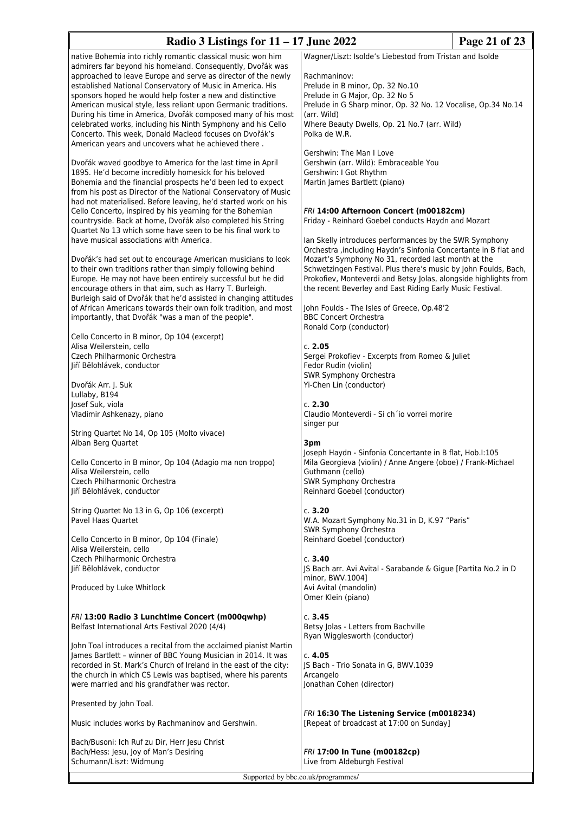# **Radio 3 Listings for 11 – 17 June 2022 Page 21 of 23**

native Bohemia into richly romantic classical music won him admirers far beyond his homeland. Consequently, Dvořák was approached to leave Europe and serve as director of the newly established National Conservatory of Music in America. His sponsors hoped he would help foster a new and distinctive American musical style, less reliant upon Germanic traditions. During his time in America, Dvořák composed many of his most celebrated works, including his Ninth Symphony and his Cello Concerto. This week, Donald Macleod focuses on Dvořák's American years and uncovers what he achieved there .

Dvořák waved goodbye to America for the last time in April 1895. He'd become incredibly homesick for his beloved Bohemia and the financial prospects he'd been led to expect from his post as Director of the National Conservatory of Music had not materialised. Before leaving, he'd started work on his Cello Concerto, inspired by his yearning for the Bohemian countryside. Back at home, Dvořák also completed his String Quartet No 13 which some have seen to be his final work to have musical associations with America.

Dvořák's had set out to encourage American musicians to look to their own traditions rather than simply following behind Europe. He may not have been entirely successful but he did encourage others in that aim, such as Harry T. Burleigh. Burleigh said of Dvořák that he'd assisted in changing attitudes of African Americans towards their own folk tradition, and most importantly, that Dvořák "was a man of the people".

Cello Concerto in B minor, Op 104 (excerpt) Alisa Weilerstein, cello Czech Philharmonic Orchestra Jiří Bĕlohlávek, conductor

Dvořák Arr. J. Suk Lullaby, B194 Josef Suk, viola Vladimir Ashkenazy, piano

String Quartet No 14, Op 105 (Molto vivace) Alban Berg Quartet

Cello Concerto in B minor, Op 104 (Adagio ma non troppo) Alisa Weilerstein, cello Czech Philharmonic Orchestra Jiří Bĕlohlávek, conductor

String Quartet No 13 in G, Op 106 (excerpt) Pavel Haas Quartet

Cello Concerto in B minor, Op 104 (Finale) Alisa Weilerstein, cello Czech Philharmonic Orchestra Jiří Bĕlohlávek, conductor

Produced by Luke Whitlock

*FRI* **13:00 Radio 3 Lunchtime Concert (m000qwhp)** Belfast International Arts Festival 2020 (4/4)

John Toal introduces a recital from the acclaimed pianist Martin James Bartlett – winner of BBC Young Musician in 2014. It was recorded in St. Mark's Church of Ireland in the east of the city: the church in which CS Lewis was baptised, where his parents were married and his grandfather was rector.

Presented by John Toal.

Music includes works by Rachmaninov and Gershwin.

Bach/Busoni: Ich Ruf zu Dir, Herr Jesu Christ Bach/Hess: Jesu, Joy of Man's Desiring Schumann/Liszt: Widmung

Wagner/Liszt: Isolde's Liebestod from Tristan and Isolde

Rachmaninov: Prelude in B minor, Op. 32 No.10 Prelude in G Major, Op. 32 No 5 Prelude in G Sharp minor, Op. 32 No. 12 Vocalise, Op.34 No.14 (arr. Wild) Where Beauty Dwells, Op. 21 No.7 (arr. Wild) Polka de W.R.

Gershwin: The Man I Love Gershwin (arr. Wild): Embraceable You Gershwin: I Got Rhythm Martin James Bartlett (piano)

## *FRI* **14:00 Afternoon Concert (m00182cm)**

Friday - Reinhard Goebel conducts Haydn and Mozart

Ian Skelly introduces performances by the SWR Symphony Orchestra ,including Haydn's Sinfonia Concertante in B flat and Mozart's Symphony No 31, recorded last month at the Schwetzingen Festival. Plus there's music by John Foulds, Bach, Prokofiev, Monteverdi and Betsy Jolas, alongside highlights from the recent Beverley and East Riding Early Music Festival.

John Foulds - The Isles of Greece, Op.48'2 BBC Concert Orchestra Ronald Corp (conductor)

## c. **2.05**

Sergei Prokofiev - Excerpts from Romeo & Juliet Fedor Rudin (violin) SWR Symphony Orchestra Yi-Chen Lin (conductor)

c. **2.30**

Claudio Monteverdi - Si ch´io vorrei morire singer pur

## **3pm**

Joseph Haydn - Sinfonia Concertante in B flat, Hob.I:105 Mila Georgieva (violin) / Anne Angere (oboe) / Frank-Michael Guthmann (cello) SWR Symphony Orchestra Reinhard Goebel (conductor)

## c. **3.20**

W.A. Mozart Symphony No.31 in D, K.97 "Paris" SWR Symphony Orchestra Reinhard Goebel (conductor)

## c. **3.40**

JS Bach arr. Avi Avital - Sarabande & Gigue [Partita No.2 in D minor, BWV.1004] Avi Avital (mandolin) Omer Klein (piano)

## c. **3.45**

Betsy Jolas - Letters from Bachville Ryan Wigglesworth (conductor)

## c. **4.05**

JS Bach - Trio Sonata in G, BWV.1039 Arcangelo Jonathan Cohen (director)

*FRI* **16:30 The Listening Service (m0018234)** [Repeat of broadcast at 17:00 on Sunday]

*FRI* **17:00 In Tune (m00182cp)** Live from Aldeburgh Festival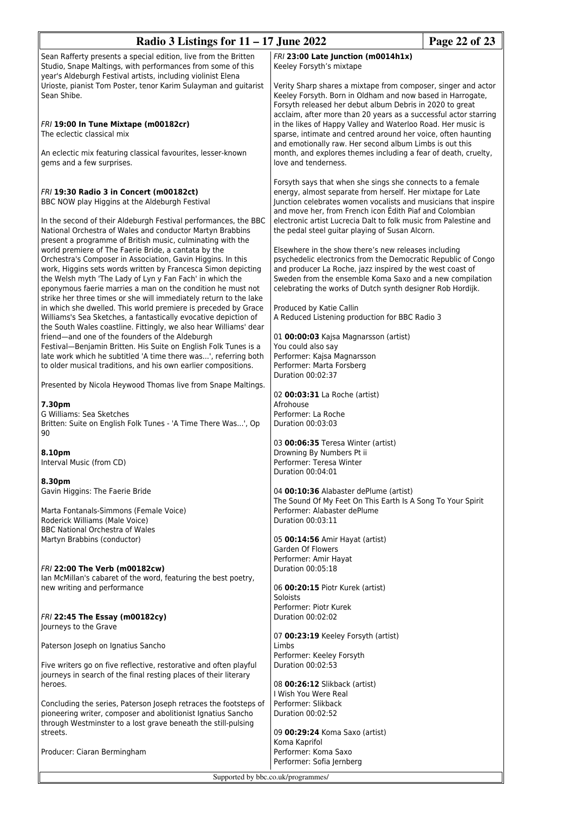| Radio 3 Listings for $11 - 17$ June 2022                                                                                                                                                                                                                                                                                                        | Page 22 of 23                                                                                                                                                                                                                                                                                                                                                                                                                       |  |
|-------------------------------------------------------------------------------------------------------------------------------------------------------------------------------------------------------------------------------------------------------------------------------------------------------------------------------------------------|-------------------------------------------------------------------------------------------------------------------------------------------------------------------------------------------------------------------------------------------------------------------------------------------------------------------------------------------------------------------------------------------------------------------------------------|--|
| Sean Rafferty presents a special edition, live from the Britten<br>Studio, Snape Maltings, with performances from some of this                                                                                                                                                                                                                  | FRI 23:00 Late Junction (m0014h1x)<br>Keeley Forsyth's mixtape                                                                                                                                                                                                                                                                                                                                                                      |  |
| year's Aldeburgh Festival artists, including violinist Elena<br>Urioste, pianist Tom Poster, tenor Karim Sulayman and guitarist<br>Sean Shibe.<br>FRI 19:00 In Tune Mixtape (m00182cr)<br>The eclectic classical mix                                                                                                                            | Verity Sharp shares a mixtape from composer, singer and actor<br>Keeley Forsyth. Born in Oldham and now based in Harrogate,<br>Forsyth released her debut album Debris in 2020 to great<br>acclaim, after more than 20 years as a successful actor starring<br>in the likes of Happy Valley and Waterloo Road. Her music is<br>sparse, intimate and centred around her voice, often haunting                                        |  |
| An eclectic mix featuring classical favourites, lesser-known<br>gems and a few surprises.                                                                                                                                                                                                                                                       | and emotionally raw. Her second album Limbs is out this<br>month, and explores themes including a fear of death, cruelty,<br>love and tenderness.                                                                                                                                                                                                                                                                                   |  |
| FRI 19:30 Radio 3 in Concert (m00182ct)<br>BBC NOW play Higgins at the Aldeburgh Festival<br>In the second of their Aldeburgh Festival performances, the BBC<br>National Orchestra of Wales and conductor Martyn Brabbins<br>present a programme of British music, culminating with the<br>world premiere of The Faerie Bride, a cantata by the | Forsyth says that when she sings she connects to a female<br>energy, almost separate from herself. Her mixtape for Late<br>Junction celebrates women vocalists and musicians that inspire<br>and move her, from French icon Édith Piaf and Colombian<br>electronic artist Lucrecia Dalt to folk music from Palestine and<br>the pedal steel guitar playing of Susan Alcorn.<br>Elsewhere in the show there's new releases including |  |
| Orchestra's Composer in Association, Gavin Higgins. In this<br>work, Higgins sets words written by Francesca Simon depicting<br>the Welsh myth 'The Lady of Lyn y Fan Fach' in which the<br>eponymous faerie marries a man on the condition he must not<br>strike her three times or she will immediately return to the lake                    | psychedelic electronics from the Democratic Republic of Congo<br>and producer La Roche, jazz inspired by the west coast of<br>Sweden from the ensemble Koma Saxo and a new compilation<br>celebrating the works of Dutch synth designer Rob Hordijk.                                                                                                                                                                                |  |
| in which she dwelled. This world premiere is preceded by Grace<br>Williams's Sea Sketches, a fantastically evocative depiction of                                                                                                                                                                                                               | Produced by Katie Callin<br>A Reduced Listening production for BBC Radio 3                                                                                                                                                                                                                                                                                                                                                          |  |
| the South Wales coastline. Fittingly, we also hear Williams' dear<br>friend-and one of the founders of the Aldeburgh<br>Festival-Benjamin Britten. His Suite on English Folk Tunes is a<br>late work which he subtitled 'A time there was', referring both<br>to older musical traditions, and his own earlier compositions.                    | 01 00:00:03 Kajsa Magnarsson (artist)<br>You could also say<br>Performer: Kajsa Magnarsson<br>Performer: Marta Forsberg<br>Duration 00:02:37                                                                                                                                                                                                                                                                                        |  |
| Presented by Nicola Heywood Thomas live from Snape Maltings.                                                                                                                                                                                                                                                                                    | 02 00:03:31 La Roche (artist)                                                                                                                                                                                                                                                                                                                                                                                                       |  |
| 7.30pm<br>G Williams: Sea Sketches<br>Britten: Suite on English Folk Tunes - 'A Time There Was', Op<br>90                                                                                                                                                                                                                                       | Afrohouse<br>Performer: La Roche<br>Duration 00:03:03                                                                                                                                                                                                                                                                                                                                                                               |  |
| 8.10pm<br>Interval Music (from CD)                                                                                                                                                                                                                                                                                                              | 03 00:06:35 Teresa Winter (artist)<br>Drowning By Numbers Pt ii<br>Performer: Teresa Winter<br>Duration 00:04:01                                                                                                                                                                                                                                                                                                                    |  |
| 8.30pm<br>Gavin Higgins: The Faerie Bride                                                                                                                                                                                                                                                                                                       | 04 00:10:36 Alabaster dePlume (artist)<br>The Sound Of My Feet On This Earth Is A Song To Your Spirit                                                                                                                                                                                                                                                                                                                               |  |
| Marta Fontanals-Simmons (Female Voice)<br>Roderick Williams (Male Voice)<br><b>BBC National Orchestra of Wales</b>                                                                                                                                                                                                                              | Performer: Alabaster dePlume<br>Duration 00:03:11                                                                                                                                                                                                                                                                                                                                                                                   |  |
| Martyn Brabbins (conductor)                                                                                                                                                                                                                                                                                                                     | 05 00:14:56 Amir Hayat (artist)<br>Garden Of Flowers<br>Performer: Amir Hayat                                                                                                                                                                                                                                                                                                                                                       |  |
| FRI 22:00 The Verb (m00182cw)<br>Ian McMillan's cabaret of the word, featuring the best poetry,<br>new writing and performance                                                                                                                                                                                                                  | Duration 00:05:18<br>06 00:20:15 Piotr Kurek (artist)<br>Soloists                                                                                                                                                                                                                                                                                                                                                                   |  |
| FRI 22:45 The Essay (m00182cy)<br>Journeys to the Grave                                                                                                                                                                                                                                                                                         | Performer: Piotr Kurek<br>Duration 00:02:02                                                                                                                                                                                                                                                                                                                                                                                         |  |
| Paterson Joseph on Ignatius Sancho                                                                                                                                                                                                                                                                                                              | 07 00:23:19 Keeley Forsyth (artist)<br>Limbs<br>Performer: Keeley Forsyth                                                                                                                                                                                                                                                                                                                                                           |  |
| Five writers go on five reflective, restorative and often playful<br>journeys in search of the final resting places of their literary<br>heroes.                                                                                                                                                                                                | Duration 00:02:53<br>08 00:26:12 Slikback (artist)<br>I Wish You Were Real                                                                                                                                                                                                                                                                                                                                                          |  |
| Concluding the series, Paterson Joseph retraces the footsteps of<br>pioneering writer, composer and abolitionist Ignatius Sancho<br>through Westminster to a lost grave beneath the still-pulsing                                                                                                                                               | Performer: Slikback<br>Duration 00:02:52                                                                                                                                                                                                                                                                                                                                                                                            |  |
| streets.<br>Producer: Ciaran Bermingham                                                                                                                                                                                                                                                                                                         | 09 00:29:24 Koma Saxo (artist)<br>Koma Kaprifol<br>Performer: Koma Saxo<br>Performer: Sofia Jernberg                                                                                                                                                                                                                                                                                                                                |  |
| Supported by bbc.co.uk/programmes/                                                                                                                                                                                                                                                                                                              |                                                                                                                                                                                                                                                                                                                                                                                                                                     |  |